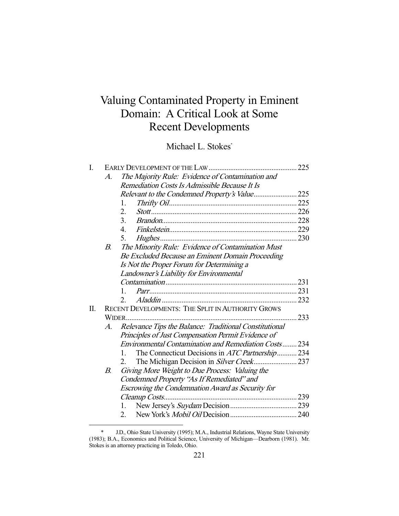# Valuing Contaminated Property in Eminent Domain: A Critical Look at Some Recent Developments

Michael L. Stokes\*

| I. |    |                                                                         | 225 |
|----|----|-------------------------------------------------------------------------|-----|
|    | A. | The Majority Rule: Evidence of Contamination and                        |     |
|    |    | Remediation Costs Is Admissible Because It Is                           |     |
|    |    |                                                                         |     |
|    |    | 1.                                                                      |     |
|    |    | 2.                                                                      |     |
|    |    | 3.                                                                      |     |
|    |    | $\overline{4}$                                                          |     |
|    |    | 5.                                                                      |     |
|    | В. | The Minority Rule: Evidence of Contamination Must                       |     |
|    |    | Be Excluded Because an Eminent Domain Proceeding                        |     |
|    |    | Is Not the Proper Forum for Determining a                               |     |
|    |    | Landowner's Liability for Environmental                                 |     |
|    |    |                                                                         |     |
|    |    | $\mathbf{1}$                                                            |     |
|    |    | $\mathfrak{D}$                                                          |     |
| Π. |    | RECENT DEVELOPMENTS: THE SPLIT IN AUTHORITY GROWS                       |     |
|    |    | WIDER                                                                   | 233 |
|    | A. | Relevance Tips the Balance: Traditional Constitutional                  |     |
|    |    | Principles of Just Compensation Permit Evidence of                      |     |
|    |    | <b>Environmental Contamination and Remediation Costs 234</b>            |     |
|    |    | The Connecticut Decisions in <i>ATC Partnership</i> 234<br>$\mathbf{1}$ |     |
|    |    | 2.                                                                      |     |
|    | В. | Giving More Weight to Due Process: Valuing the                          |     |
|    |    | Condemned Property "As If Remediated" and                               |     |
|    |    | Escrowing the Condemnation Award as Security for                        |     |
|    |    |                                                                         |     |
|    |    |                                                                         |     |
|    |    | 2.                                                                      |     |

 <sup>\*</sup> J.D., Ohio State University (1995); M.A., Industrial Relations, Wayne State University (1983); B.A., Economics and Political Science, University of Michigan—Dearborn (1981). Mr. Stokes is an attorney practicing in Toledo, Ohio.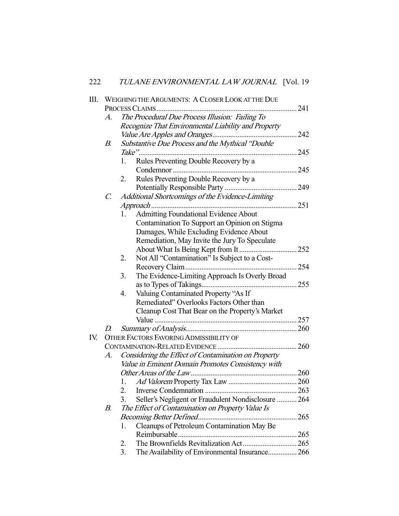| Ш.  |                 | WEIGHING THE ARGUMENTS: A CLOSER LOOK AT THE DUE      |     |
|-----|-----------------|-------------------------------------------------------|-----|
|     |                 |                                                       | 241 |
|     | A.              | The Procedural Due Process Illusion: Failing To       |     |
|     |                 | Recognize That Environmental Liability and Property   |     |
|     |                 |                                                       |     |
|     | В.              | Substantive Due Process and the Mythical "Double      |     |
|     |                 | Take"                                                 |     |
|     |                 | Rules Preventing Double Recovery by a<br>1.           |     |
|     |                 |                                                       |     |
|     |                 | Rules Preventing Double Recovery by a<br>2.           |     |
|     |                 |                                                       |     |
|     | $\mathcal{C}$ . | Additional Shortcomings of the Evidence-Limiting      |     |
|     |                 |                                                       |     |
|     |                 | Admitting Foundational Evidence About<br>1.           |     |
|     |                 | Contamination To Support an Opinion on Stigma         |     |
|     |                 | Damages, While Excluding Evidence About               |     |
|     |                 | Remediation, May Invite the Jury To Speculate         |     |
|     |                 |                                                       |     |
|     |                 | Not All "Contamination" Is Subject to a Cost-<br>2.   |     |
|     |                 |                                                       |     |
|     |                 | The Evidence-Limiting Approach Is Overly Broad<br>3.  |     |
|     |                 |                                                       |     |
|     |                 | Valuing Contaminated Property "As If<br>4.            |     |
|     |                 | Remediated" Overlooks Factors Other than              |     |
|     |                 | Cleanup Cost That Bear on the Property's Market       |     |
|     |                 |                                                       |     |
|     | D.              |                                                       |     |
| IV. |                 | <b>OTHER FACTORS FAVORING ADMISSIBILITY OF</b>        |     |
|     |                 |                                                       |     |
|     | A.              | Considering the Effect of Contamination on Property   |     |
|     |                 | Value in Eminent Domain Promotes Consistency with     |     |
|     |                 |                                                       |     |
|     |                 |                                                       |     |
|     |                 | 2.                                                    |     |
|     |                 | 3.                                                    |     |
|     |                 | Seller's Negligent or Fraudulent Nondisclosure  264   |     |
|     | В.              | The Effect of Contamination on Property Value Is      |     |
|     |                 |                                                       |     |
|     |                 | Cleanups of Petroleum Contamination May Be<br>1.      |     |
|     |                 |                                                       |     |
|     |                 | 2.                                                    |     |
|     |                 | 3.<br>The Availability of Environmental Insurance 266 |     |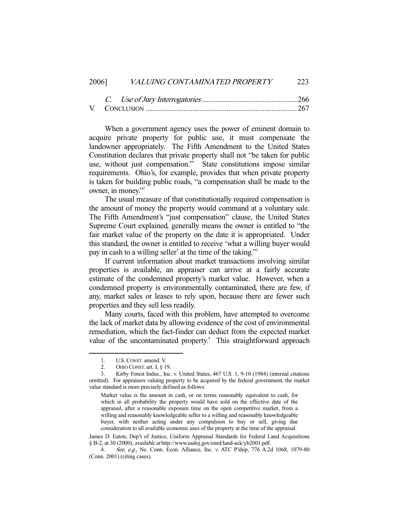## 2006] VALUING CONTAMINATED PROPERTY 223

 When a government agency uses the power of eminent domain to acquire private property for public use, it must compensate the landowner appropriately. The Fifth Amendment to the United States Constitution declares that private property shall not "be taken for public use, without just compensation." State constitutions impose similar requirements. Ohio's, for example, provides that when private property is taken for building public roads, "a compensation shall be made to the owner, in money."2

 The usual measure of that constitutionally required compensation is the amount of money the property would command at a voluntary sale. The Fifth Amendment's "just compensation" clause, the United States Supreme Court explained, generally means the owner is entitled to "the fair market value of the property on the date it is appropriated. Under this standard, the owner is entitled to receive 'what a willing buyer would pay in cash to a willing seller' at the time of the taking."3

 If current information about market transactions involving similar properties is available, an appraiser can arrive at a fairly accurate estimate of the condemned property's market value. However, when a condemned property is environmentally contaminated, there are few, if any, market sales or leases to rely upon, because there are fewer such properties and they sell less readily.

 Many courts, faced with this problem, have attempted to overcome the lack of market data by allowing evidence of the cost of environmental remediation, which the fact-finder can deduct from the expected market value of the uncontaminated property.<sup>4</sup> This straightforward approach

<sup>1.</sup> U.S. CONST. amend. V.<br>2. OHIO CONST. art. I. 8 1

OHIO CONST. art. I, § 19.

 <sup>3.</sup> Kirby Forest Indus., Inc. v. United States, 467 U.S. 1, 9-10 (1984) (internal citations omitted). For appraisers valuing property to be acquired by the federal government, the market value standard is more precisely defined as follows:

Market value is the amount in cash, or on terms reasonably equivalent to cash, for which in all probability the property would have sold on the effective date of the appraisal, after a reasonable exposure time on the open competitive market, from a willing and reasonably knowledgeable seller to a willing and reasonably knowledgeable buyer, with neither acting under any compulsion to buy or sell, giving due consideration to all available economic uses of the property at the time of the appraisal.

James D. Eaton, Dep't of Justice, Uniform Appraisal Standards for Federal Land Acquisitions § B-2, at 30 (2000), *available at* http://www.usdoj.gov/enrd/land-ack/yb2001.pdf.

 <sup>4.</sup> See, e.g., Ne. Conn. Econ. Alliance, Inc. v. ATC P'ship, 776 A.2d 1068, 1079-80 (Conn. 2001) (citing cases).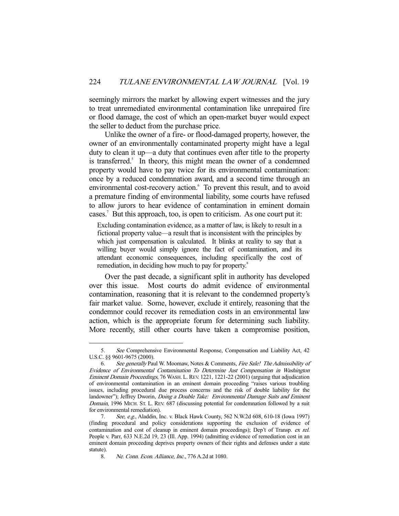seemingly mirrors the market by allowing expert witnesses and the jury to treat unremediated environmental contamination like unrepaired fire or flood damage, the cost of which an open-market buyer would expect the seller to deduct from the purchase price.

 Unlike the owner of a fire- or flood-damaged property, however, the owner of an environmentally contaminated property might have a legal duty to clean it up—a duty that continues even after title to the property is transferred.<sup>5</sup> In theory, this might mean the owner of a condemned property would have to pay twice for its environmental contamination: once by a reduced condemnation award, and a second time through an environmental cost-recovery action.<sup>6</sup> To prevent this result, and to avoid a premature finding of environmental liability, some courts have refused to allow jurors to hear evidence of contamination in eminent domain cases.<sup>7</sup> But this approach, too, is open to criticism. As one court put it:

Excluding contamination evidence, as a matter of law, is likely to result in a fictional property value—a result that is inconsistent with the principles by which just compensation is calculated. It blinks at reality to say that a willing buyer would simply ignore the fact of contamination, and its attendant economic consequences, including specifically the cost of remediation, in deciding how much to pay for property.<sup>8</sup>

 Over the past decade, a significant split in authority has developed over this issue. Most courts do admit evidence of environmental contamination, reasoning that it is relevant to the condemned property's fair market value. Some, however, exclude it entirely, reasoning that the condemnor could recover its remediation costs in an environmental law action, which is the appropriate forum for determining such liability. More recently, still other courts have taken a compromise position,

 <sup>5.</sup> See Comprehensive Environmental Response, Compensation and Liability Act, 42 U.S.C. §§ 9601-9675 (2000).

 <sup>6.</sup> See generally Paul W. Moomaw, Notes & Comments, Fire Sale! The Admissibility of Evidence of Environmental Contamination To Determine Just Compensation in Washington Eminent Domain Proceedings, 76 WASH. L. REV. 1221, 1221-22 (2001) (arguing that adjudication of environmental contamination in an eminent domain proceeding "raises various troubling issues, including procedural due process concerns and the risk of double liability for the landowner"); Jeffrey Dworin, *Doing a Double Take: Environmental Damage Suits and Eminent* Domain, 1996 MICH. ST. L. REV. 687 (discussing potential for condemnation followed by a suit for environmental remediation).

 <sup>7.</sup> See, e.g., Aladdin, Inc. v. Black Hawk County, 562 N.W.2d 608, 610-18 (Iowa 1997) (finding procedural and policy considerations supporting the exclusion of evidence of contamination and cost of cleanup in eminent domain proceedings); Dep't of Transp. ex rel. People v. Parr, 633 N.E.2d 19, 23 (Ill. App. 1994) (admitting evidence of remediation cost in an eminent domain proceeding deprives property owners of their rights and defenses under a state statute).<br>8.

Ne. Conn. Econ. Alliance, Inc., 776 A.2d at 1080.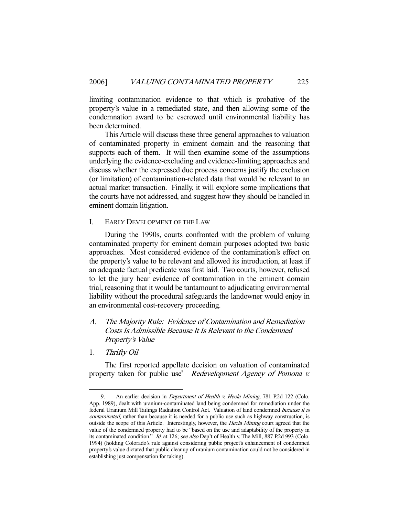limiting contamination evidence to that which is probative of the property's value in a remediated state, and then allowing some of the condemnation award to be escrowed until environmental liability has been determined.

 This Article will discuss these three general approaches to valuation of contaminated property in eminent domain and the reasoning that supports each of them. It will then examine some of the assumptions underlying the evidence-excluding and evidence-limiting approaches and discuss whether the expressed due process concerns justify the exclusion (or limitation) of contamination-related data that would be relevant to an actual market transaction. Finally, it will explore some implications that the courts have not addressed, and suggest how they should be handled in eminent domain litigation.

# I. EARLY DEVELOPMENT OF THE LAW

 During the 1990s, courts confronted with the problem of valuing contaminated property for eminent domain purposes adopted two basic approaches. Most considered evidence of the contamination's effect on the property's value to be relevant and allowed its introduction, at least if an adequate factual predicate was first laid. Two courts, however, refused to let the jury hear evidence of contamination in the eminent domain trial, reasoning that it would be tantamount to adjudicating environmental liability without the procedural safeguards the landowner would enjoy in an environmental cost-recovery proceeding.

# A. The Majority Rule: Evidence of Contamination and Remediation Costs Is Admissible Because It Is Relevant to the Condemned Property's Value

1. Thrifty Oil

-

 The first reported appellate decision on valuation of contaminated property taken for public use<sup>9</sup>—Redevelopment Agency of Pomona v.

<sup>9.</sup> An earlier decision in *Department of Health v. Hecla Mining*, 781 P.2d 122 (Colo. App. 1989), dealt with uranium-contaminated land being condemned for remediation under the federal Uranium Mill Tailings Radiation Control Act. Valuation of land condemned because it is contaminated, rather than because it is needed for a public use such as highway construction, is outside the scope of this Article. Interestingly, however, the Hecla Mining court agreed that the value of the condemned property had to be "based on the use and adaptability of the property in its contaminated condition." Id. at 126; see also Dep't of Health v. The Mill, 887 P.2d 993 (Colo. 1994) (holding Colorado's rule against considering public project's enhancement of condemned property's value dictated that public cleanup of uranium contamination could not be considered in establishing just compensation for taking).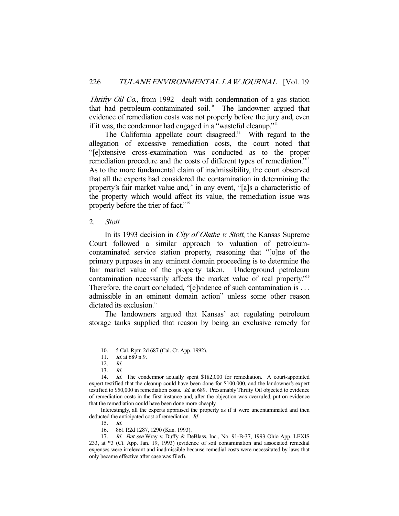Thrifty Oil Co., from 1992—dealt with condemnation of a gas station that had petroleum-contaminated soil.<sup>10</sup> The landowner argued that evidence of remediation costs was not properly before the jury and, even if it was, the condemnor had engaged in a "wasteful cleanup."<sup>11</sup>

The California appellate court disagreed.<sup>12</sup> With regard to the allegation of excessive remediation costs, the court noted that "[e]xtensive cross-examination was conducted as to the proper remediation procedure and the costs of different types of remediation."<sup>13</sup> As to the more fundamental claim of inadmissibility, the court observed that all the experts had considered the contamination in determining the property's fair market value and, $14$  in any event, "[a]s a characteristic of the property which would affect its value, the remediation issue was properly before the trier of fact."<sup>15</sup>

# 2. Stott

In its 1993 decision in *City of Olathe v. Stott*, the Kansas Supreme Court followed a similar approach to valuation of petroleumcontaminated service station property, reasoning that "[o]ne of the primary purposes in any eminent domain proceeding is to determine the fair market value of the property taken. Underground petroleum contamination necessarily affects the market value of real property."<sup>16</sup> Therefore, the court concluded, "[e]vidence of such contamination is . . . admissible in an eminent domain action" unless some other reason dictated its exclusion.<sup>17</sup>

 The landowners argued that Kansas' act regulating petroleum storage tanks supplied that reason by being an exclusive remedy for

-

 Interestingly, all the experts appraised the property as if it were uncontaminated and then deducted the anticipated cost of remediation. Id.

 <sup>10. 5</sup> Cal. Rptr. 2d 687 (Cal. Ct. App. 1992).

<sup>11.</sup> *Id.* at 689 n.9.

 <sup>12.</sup> Id.

 $13.$  Id.

<sup>14.</sup> *Id.* The condemnor actually spent \$182,000 for remediation. A court-appointed expert testified that the cleanup could have been done for \$100,000, and the landowner's expert testified to \$50,000 in remediation costs. *Id.* at 689. Presumably Thrifty Oil objected to evidence of remediation costs in the first instance and, after the objection was overruled, put on evidence that the remediation could have been done more cheaply.

 <sup>15.</sup> Id.

 <sup>16. 861</sup> P.2d 1287, 1290 (Kan. 1993).

<sup>17.</sup> Id. But see Wray v. Duffy & DeBlass, Inc., No. 91-B-37, 1993 Ohio App. LEXIS 233, at \*3 (Ct. App. Jan. 19, 1993) (evidence of soil contamination and associated remedial expenses were irrelevant and inadmissible because remedial costs were necessitated by laws that only became effective after case was filed).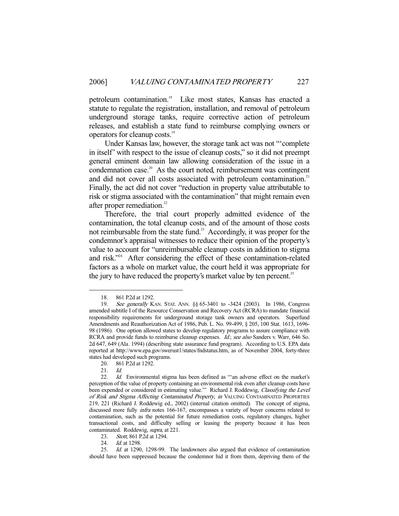petroleum contamination.<sup>18</sup> Like most states, Kansas has enacted a statute to regulate the registration, installation, and removal of petroleum underground storage tanks, require corrective action of petroleum releases, and establish a state fund to reimburse complying owners or operators for cleanup costs.19

 Under Kansas law, however, the storage tank act was not "'complete in itself' with respect to the issue of cleanup costs," so it did not preempt general eminent domain law allowing consideration of the issue in a condemnation case.<sup>20</sup> As the court noted, reimbursement was contingent and did not cover all costs associated with petroleum contamination.<sup>21</sup> Finally, the act did not cover "reduction in property value attributable to risk or stigma associated with the contamination" that might remain even after proper remediation.<sup>22</sup>

 Therefore, the trial court properly admitted evidence of the contamination, the total cleanup costs, and of the amount of those costs not reimbursable from the state fund.<sup>23</sup> Accordingly, it was proper for the condemnor's appraisal witnesses to reduce their opinion of the property's value to account for "unreimbursable cleanup costs in addition to stigma and risk."24 After considering the effect of these contamination-related factors as a whole on market value, the court held it was appropriate for the jury to have reduced the property's market value by ten percent.<sup>25</sup>

-

23. Stott, 861 P.2d at 1294.

24. *Id.* at 1298.

 25. Id. at 1290, 1298-99. The landowners also argued that evidence of contamination should have been suppressed because the condemnor hid it from them, depriving them of the

 <sup>18. 861</sup> P.2d at 1292.

<sup>19.</sup> See generally KAN. STAT. ANN. §§ 65-3401 to -3424 (2003). In 1986, Congress amended subtitle I of the Resource Conservation and Recovery Act (RCRA) to mandate financial responsibility requirements for underground storage tank owners and operators. Superfund Amendments and Reauthorization Act of 1986, Pub. L. No. 99-499, § 205, 100 Stat. 1613, 1696- 98 (1986). One option allowed states to develop regulatory programs to assure compliance with RCRA and provide funds to reimburse cleanup expenses. Id.; see also Sanders v. Warr, 646 So. 2d 647, 649 (Ala. 1994) (describing state assurance fund program). According to U.S. EPA data reported at http://www.epa.gov/swerust1/states/fndstatus.htm, as of November 2004, forty-three states had developed such programs.

 <sup>20. 861</sup> P.2d at 1292.

 <sup>21.</sup> Id.

<sup>22.</sup> *Id.* Environmental stigma has been defined as "'an adverse effect on the market's perception of the value of property containing an environmental risk even after cleanup costs have been expended or considered in estimating value." Richard J. Roddewig, Classifying the Level of Risk and Stigma Affecting Contaminated Property, in VALUING CONTAMINATED PROPERTIES 219, 221 (Richard J. Roddewig ed., 2002) (internal citation omitted). The concept of stigma, discussed more fully infra notes 166-167, encompasses a variety of buyer concerns related to contamination, such as the potential for future remediation costs, regulatory changes, higher transactional costs, and difficulty selling or leasing the property because it has been contaminated. Roddewig, supra, at 221.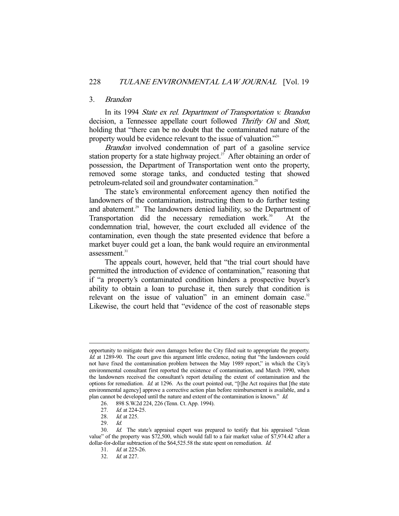#### 3. Brandon

 In its 1994 State ex rel. Department of Transportation v. Brandon decision, a Tennessee appellate court followed Thrifty Oil and Stott, holding that "there can be no doubt that the contaminated nature of the property would be evidence relevant to the issue of valuation."26

Brandon involved condemnation of part of a gasoline service station property for a state highway project.<sup>27</sup> After obtaining an order of possession, the Department of Transportation went onto the property, removed some storage tanks, and conducted testing that showed petroleum-related soil and groundwater contamination.<sup>28</sup>

 The state's environmental enforcement agency then notified the landowners of the contamination, instructing them to do further testing and abatement.<sup>29</sup> The landowners denied liability, so the Department of Transportation did the necessary remediation work.<sup>30</sup> At the condemnation trial, however, the court excluded all evidence of the contamination, even though the state presented evidence that before a market buyer could get a loan, the bank would require an environmental assessment. $31$ 

 The appeals court, however, held that "the trial court should have permitted the introduction of evidence of contamination," reasoning that if "a property's contaminated condition hinders a prospective buyer's ability to obtain a loan to purchase it, then surely that condition is relevant on the issue of valuation" in an eminent domain case. $32$ Likewise, the court held that "evidence of the cost of reasonable steps

opportunity to mitigate their own damages before the City filed suit to appropriate the property. Id. at 1289-90. The court gave this argument little credence, noting that "the landowners could not have fixed the contamination problem between the May 1989 report," in which the City's environmental consultant first reported the existence of contamination, and March 1990, when the landowners received the consultant's report detailing the extent of contamination and the options for remediation.  $Id$  at 1296. As the court pointed out, "[t]he Act requires that [the state environmental agency] approve a corrective action plan before reimbursement is available, and a plan cannot be developed until the nature and extent of the contamination is known." Id.

<sup>26. 898</sup> S.W.2d 224, 226 (Tenn. Ct. App. 1994).<br>27. Id. at 224-25.

<sup>27.</sup> *Id.* at 224-25.<br>28. *Id.* at 225.

*Id.* at 225.

 <sup>29.</sup> Id.

<sup>30.</sup> Id. The state's appraisal expert was prepared to testify that his appraised "clean value" of the property was \$72,500, which would fall to a fair market value of \$7,974.42 after a dollar-for-dollar subtraction of the \$64,525.58 the state spent on remediation. *Id.* 

 <sup>31.</sup> Id. at 225-26.

 <sup>32.</sup> Id. at 227.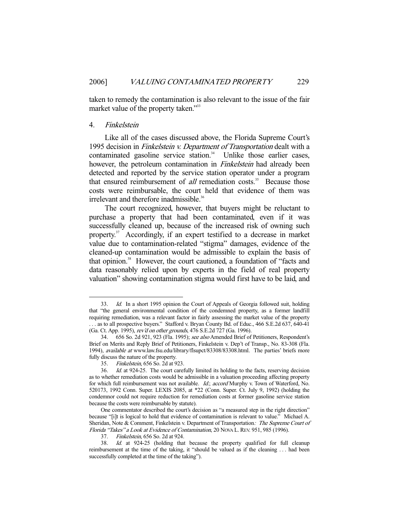taken to remedy the contamination is also relevant to the issue of the fair market value of the property taken."33

# 4. Finkelstein

-

 Like all of the cases discussed above, the Florida Supreme Court's 1995 decision in Finkelstein v. Department of Transportation dealt with a contaminated gasoline service station.<sup>34</sup> Unlike those earlier cases, however, the petroleum contamination in *Finkelstein* had already been detected and reported by the service station operator under a program that ensured reimbursement of all remediation costs.<sup>35</sup> Because those costs were reimbursable, the court held that evidence of them was irrelevant and therefore inadmissible.<sup>36</sup>

 The court recognized, however, that buyers might be reluctant to purchase a property that had been contaminated, even if it was successfully cleaned up, because of the increased risk of owning such property.37 Accordingly, if an expert testified to a decrease in market value due to contamination-related "stigma" damages, evidence of the cleaned-up contamination would be admissible to explain the basis of that opinion.<sup>38</sup> However, the court cautioned, a foundation of "facts and data reasonably relied upon by experts in the field of real property valuation" showing contamination stigma would first have to be laid, and

<sup>33.</sup> Id. In a short 1995 opinion the Court of Appeals of Georgia followed suit, holding that "the general environmental condition of the condemned property, as a former landfill requiring remediation, was a relevant factor in fairly assessing the market value of the property . . . as to all prospective buyers." Stafford v. Bryan County Bd. of Educ., 466 S.E.2d 637, 640-41 (Ga. Ct. App. 1995), *rev'd on other grounds*, 476 S.E.2d 727 (Ga. 1996).<br>34. 656 So. 2d 921, 923 (Fla. 1995); *see also* Amended Brief of

 <sup>34. 656</sup> So. 2d 921, 923 (Fla. 1995); see also Amended Brief of Petitioners, Respondent's Brief on Merits and Reply Brief of Petitioners, Finkelstein v. Dep't of Transp., No. 83-308 (Fla. 1994), available at www.law.fsu.edu/library/flsupct/83308/83308.html. The parties' briefs more fully discuss the nature of the property.

 <sup>35.</sup> Finkelstein, 656 So. 2d at 923.

 <sup>36.</sup> Id. at 924-25. The court carefully limited its holding to the facts, reserving decision as to whether remediation costs would be admissible in a valuation proceeding affecting property for which full reimbursement was not available. Id.; accord Murphy v. Town of Waterford, No. 520173, 1992 Conn. Super. LEXIS 2085, at \*22 (Conn. Super. Ct. July 9, 1992) (holding the condemnor could not require reduction for remediation costs at former gasoline service station because the costs were reimbursable by statute).

One commentator described the court's decision as "a measured step in the right direction" because "[i]t is logical to hold that evidence of contamination is relevant to value." Michael A. Sheridan, Note & Comment, Finkelstein v. Department of Transportation: The Supreme Court of Florida "Takes" a Look at Evidence of Contamination, 20 NOVA L.REV. 951, 985 (1996).

 <sup>37.</sup> Finkelstein, 656 So. 2d at 924.

<sup>38.</sup> Id. at 924-25 (holding that because the property qualified for full cleanup reimbursement at the time of the taking, it "should be valued as if the cleaning . . . had been successfully completed at the time of the taking").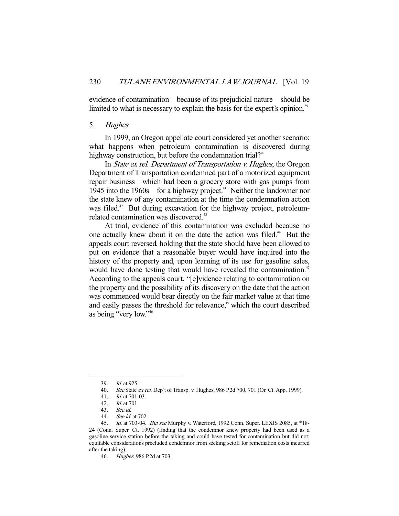evidence of contamination—because of its prejudicial nature—should be limited to what is necessary to explain the basis for the expert's opinion.<sup>39</sup>

# 5. Hughes

 In 1999, an Oregon appellate court considered yet another scenario: what happens when petroleum contamination is discovered during highway construction, but before the condemnation trial?<sup>40</sup>

 In State ex rel. Department of Transportation v. Hughes, the Oregon Department of Transportation condemned part of a motorized equipment repair business—which had been a grocery store with gas pumps from 1945 into the 1960s—for a highway project.<sup>41</sup> Neither the landowner nor the state knew of any contamination at the time the condemnation action was filed.<sup>42</sup> But during excavation for the highway project, petroleumrelated contamination was discovered.<sup>43</sup>

 At trial, evidence of this contamination was excluded because no one actually knew about it on the date the action was filed.<sup>44</sup> But the appeals court reversed, holding that the state should have been allowed to put on evidence that a reasonable buyer would have inquired into the history of the property and, upon learning of its use for gasoline sales, would have done testing that would have revealed the contamination.<sup>45</sup> According to the appeals court, "[e]vidence relating to contamination on the property and the possibility of its discovery on the date that the action was commenced would bear directly on the fair market value at that time and easily passes the threshold for relevance," which the court described as being "very low."46

 <sup>39.</sup> Id. at 925.

 <sup>40.</sup> See State ex rel. Dep't of Transp. v. Hughes, 986 P.2d 700, 701 (Or. Ct. App. 1999).

 <sup>41.</sup> Id. at 701-03.

<sup>42.</sup> *Id.* at 701.<br>43. *See id.* 

See id.

 <sup>44.</sup> See id. at 702.

<sup>45.</sup> Id. at 703-04. But see Murphy v. Waterford, 1992 Conn. Super. LEXIS 2085, at \*18-24 (Conn. Super. Ct. 1992) (finding that the condemnor knew property had been used as a gasoline service station before the taking and could have tested for contamination but did not; equitable considerations precluded condemnor from seeking setoff for remediation costs incurred after the taking).

 <sup>46.</sup> Hughes, 986 P.2d at 703.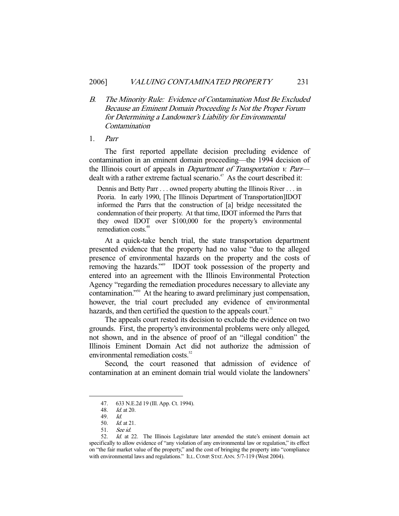B. The Minority Rule: Evidence of Contamination Must Be Excluded Because an Eminent Domain Proceeding Is Not the Proper Forum for Determining a Landowner's Liability for Environmental Contamination

#### 1. Parr

 The first reported appellate decision precluding evidence of contamination in an eminent domain proceeding—the 1994 decision of the Illinois court of appeals in *Department of Transportation v. Parr* dealt with a rather extreme factual scenario.<sup> $47$ </sup> As the court described it:

Dennis and Betty Parr . . . owned property abutting the Illinois River . . . in Peoria. In early 1990, [The Illinois Department of Transportation]IDOT informed the Parrs that the construction of [a] bridge necessitated the condemnation of their property. At that time, IDOT informed the Parrs that they owed IDOT over \$100,000 for the property's environmental remediation costs.<sup>48</sup>

 At a quick-take bench trial, the state transportation department presented evidence that the property had no value "due to the alleged presence of environmental hazards on the property and the costs of removing the hazards."49 IDOT took possession of the property and entered into an agreement with the Illinois Environmental Protection Agency "regarding the remediation procedures necessary to alleviate any contamination."50 At the hearing to award preliminary just compensation, however, the trial court precluded any evidence of environmental hazards, and then certified the question to the appeals court.<sup>51</sup>

 The appeals court rested its decision to exclude the evidence on two grounds. First, the property's environmental problems were only alleged, not shown, and in the absence of proof of an "illegal condition" the Illinois Eminent Domain Act did not authorize the admission of environmental remediation costs.<sup>52</sup>

 Second, the court reasoned that admission of evidence of contamination at an eminent domain trial would violate the landowners'

 <sup>47. 633</sup> N.E.2d 19 (Ill. App. Ct. 1994).

 <sup>48.</sup> Id. at 20.

<sup>49.</sup> *Id.*<br>50. *Id.* 

*Id.* at 21.

 <sup>51.</sup> See id.

 <sup>52.</sup> Id. at 22. The Illinois Legislature later amended the state's eminent domain act specifically to allow evidence of "any violation of any environmental law or regulation," its effect on "the fair market value of the property," and the cost of bringing the property into "compliance with environmental laws and regulations." ILL. COMP. STAT. ANN. 5/7-119 (West 2004).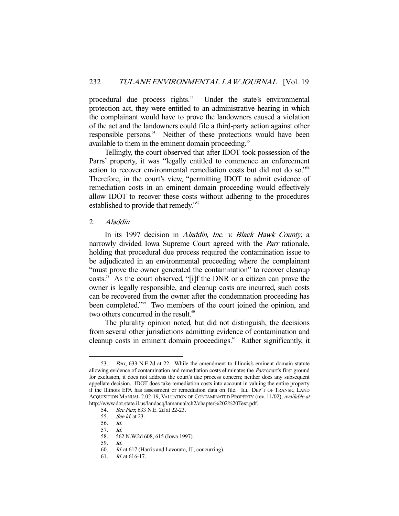procedural due process rights.<sup>53</sup> Under the state's environmental protection act, they were entitled to an administrative hearing in which the complainant would have to prove the landowners caused a violation of the act and the landowners could file a third-party action against other responsible persons.<sup>54</sup> Neither of these protections would have been available to them in the eminent domain proceeding.<sup>55</sup>

 Tellingly, the court observed that after IDOT took possession of the Parrs' property, it was "legally entitled to commence an enforcement action to recover environmental remediation costs but did not do so."56 Therefore, in the court's view, "permitting IDOT to admit evidence of remediation costs in an eminent domain proceeding would effectively allow IDOT to recover these costs without adhering to the procedures established to provide that remedy."<sup>57</sup>

# 2. Aladdin

In its 1997 decision in Aladdin, Inc. v. Black Hawk County, a narrowly divided Iowa Supreme Court agreed with the *Parr* rationale, holding that procedural due process required the contamination issue to be adjudicated in an environmental proceeding where the complainant "must prove the owner generated the contamination" to recover cleanup costs.58 As the court observed, "[i]f the DNR or a citizen can prove the owner is legally responsible, and cleanup costs are incurred, such costs can be recovered from the owner after the condemnation proceeding has been completed."<sup>59</sup> Two members of the court joined the opinion, and two others concurred in the result.<sup>60</sup>

 The plurality opinion noted, but did not distinguish, the decisions from several other jurisdictions admitting evidence of contamination and cleanup costs in eminent domain proceedings.<sup>61</sup> Rather significantly, it

 <sup>53.</sup> Parr, 633 N.E.2d at 22. While the amendment to Illinois's eminent domain statute allowing evidence of contamination and remediation costs eliminates the *Parr* court's first ground for exclusion, it does not address the court's due process concern; neither does any subsequent appellate decision. IDOT does take remediation costs into account in valuing the entire property if the Illinois EPA has assessment or remediation data on file. ILL. DEP'T OF TRANSP., LAND ACQUISITION MANUAL 2.02-19, VALUATION OF CONTAMINATED PROPERTY (rev. 11/02), available at http://www.dot.state.il.us/landacq/lamanual/ch2/chapter%202%20Text.pdf.

<sup>54.</sup> See Parr, 633 N.E. 2d at 22-23.<br>55. See id. at 23.

See id. at 23.

 <sup>56.</sup> Id.

<sup>57.</sup> *Id.*<br>58. 56.

 <sup>58. 562</sup> N.W.2d 608, 615 (Iowa 1997).

 <sup>59.</sup> Id.

 <sup>60.</sup> Id. at 617 (Harris and Lavorato, JJ., concurring).

 <sup>61.</sup> Id. at 616-17.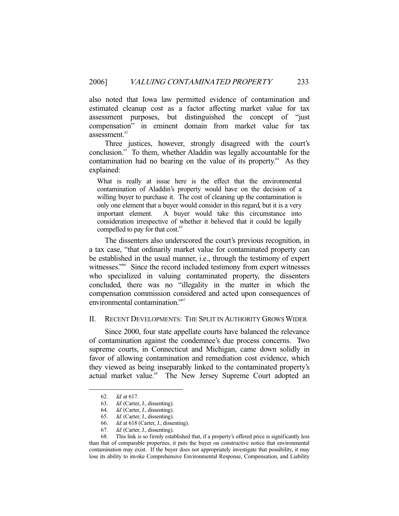also noted that Iowa law permitted evidence of contamination and estimated cleanup cost as a factor affecting market value for tax assessment purposes, but distinguished the concept of "just compensation" in eminent domain from market value for tax assessment. $62$ 

 Three justices, however, strongly disagreed with the court's conclusion.63 To them, whether Aladdin was legally accountable for the contamination had no bearing on the value of its property. $64$  As they explained:

What is really at issue here is the effect that the environmental contamination of Aladdin's property would have on the decision of a willing buyer to purchase it. The cost of cleaning up the contamination is only one element that a buyer would consider in this regard, but it is a very important element. A buyer would take this circumstance into consideration irrespective of whether it believed that it could be legally compelled to pay for that cost.<sup>65</sup>

 The dissenters also underscored the court's previous recognition, in a tax case, "that ordinarily market value for contaminated property can be established in the usual manner, i.e., through the testimony of expert witnesses."<sup>66</sup> Since the record included testimony from expert witnesses who specialized in valuing contaminated property, the dissenters concluded, there was no "illegality in the matter in which the compensation commission considered and acted upon consequences of environmental contamination."<sup>67</sup>

# II. RECENT DEVELOPMENTS: THE SPLIT IN AUTHORITY GROWS WIDER

 Since 2000, four state appellate courts have balanced the relevance of contamination against the condemnee's due process concerns. Two supreme courts, in Connecticut and Michigan, came down solidly in favor of allowing contamination and remediation cost evidence, which they viewed as being inseparably linked to the contaminated property's actual market value.<sup>68</sup> The New Jersey Supreme Court adopted an

 <sup>62.</sup> Id. at 617.

 <sup>63.</sup> Id. (Carter, J., dissenting).

 <sup>64.</sup> Id. (Carter, J., dissenting).

 <sup>65.</sup> Id. (Carter, J., dissenting).

 <sup>66.</sup> Id. at 618 (Carter, J., dissenting).

 <sup>67.</sup> Id. (Carter, J., dissenting).

 <sup>68.</sup> This link is so firmly established that, if a property's offered price is significantly less than that of comparable properties, it puts the buyer on constructive notice that environmental contamination may exist. If the buyer does not appropriately investigate that possibility, it may lose its ability to invoke Comprehensive Environmental Response, Compensation, and Liability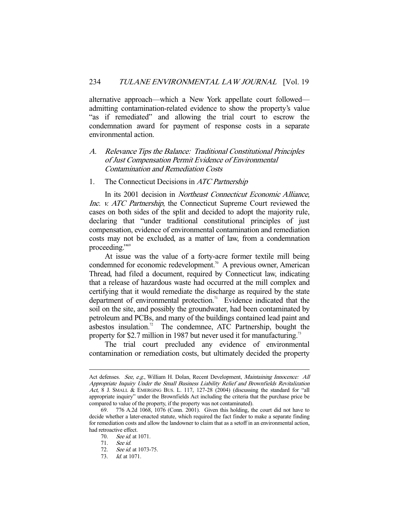alternative approach—which a New York appellate court followed admitting contamination-related evidence to show the property's value "as if remediated" and allowing the trial court to escrow the condemnation award for payment of response costs in a separate environmental action.

# A. Relevance Tips the Balance: Traditional Constitutional Principles of Just Compensation Permit Evidence of Environmental Contamination and Remediation Costs

#### 1. The Connecticut Decisions in *ATC Partnership*

 In its 2001 decision in Northeast Connecticut Economic Alliance, Inc. v. ATC Partnership, the Connecticut Supreme Court reviewed the cases on both sides of the split and decided to adopt the majority rule, declaring that "under traditional constitutional principles of just compensation, evidence of environmental contamination and remediation costs may not be excluded, as a matter of law, from a condemnation proceeding."<sup>69</sup>

 At issue was the value of a forty-acre former textile mill being condemned for economic redevelopment.<sup>70</sup> A previous owner, American Thread, had filed a document, required by Connecticut law, indicating that a release of hazardous waste had occurred at the mill complex and certifying that it would remediate the discharge as required by the state department of environmental protection.<sup>71</sup> Evidence indicated that the soil on the site, and possibly the groundwater, had been contaminated by petroleum and PCBs, and many of the buildings contained lead paint and asbestos insulation.<sup>72</sup> The condemnee, ATC Partnership, bought the property for \$2.7 million in 1987 but never used it for manufacturing.<sup>73</sup>

 The trial court precluded any evidence of environmental contamination or remediation costs, but ultimately decided the property

Act defenses. See, e.g., William H. Dolan, Recent Development, *Maintaining Innocence: All* Appropriate Inquiry Under the Small Business Liability Relief and Brownfields Revitalization Act, 8 J. SMALL & EMERGING BUS. L. 117, 127-28 (2004) (discussing the standard for "all appropriate inquiry" under the Brownfields Act including the criteria that the purchase price be compared to value of the property, if the property was not contaminated).<br>69. 776 A.2d 1068, 1076 (Conn. 2001). Given this holding the

<sup>776</sup> A.2d 1068, 1076 (Conn. 2001). Given this holding, the court did not have to decide whether a later-enacted statute, which required the fact finder to make a separate finding for remediation costs and allow the landowner to claim that as a setoff in an environmental action, had retroactive effect.

<sup>70.</sup> *See id.* at 1071.

 <sup>71.</sup> See id.

<sup>72.</sup> *See id.* at 1073-75.

 <sup>73.</sup> Id. at 1071.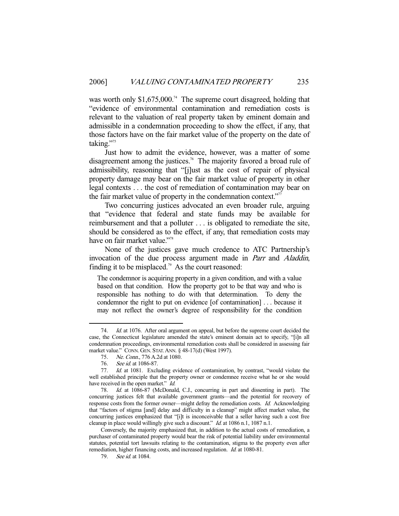was worth only  $$1,675,000$ .<sup>74</sup> The supreme court disagreed, holding that "evidence of environmental contamination and remediation costs is relevant to the valuation of real property taken by eminent domain and admissible in a condemnation proceeding to show the effect, if any, that those factors have on the fair market value of the property on the date of taking."<sup>75</sup>

 Just how to admit the evidence, however, was a matter of some disagreement among the justices.<sup>76</sup> The majority favored a broad rule of admissibility, reasoning that "[j]ust as the cost of repair of physical property damage may bear on the fair market value of property in other legal contexts . . . the cost of remediation of contamination may bear on the fair market value of property in the condemnation context."<sup>77</sup>

 Two concurring justices advocated an even broader rule, arguing that "evidence that federal and state funds may be available for reimbursement and that a polluter . . . is obligated to remediate the site, should be considered as to the effect, if any, that remediation costs may have on fair market value."<sup>78</sup>

 None of the justices gave much credence to ATC Partnership's invocation of the due process argument made in Parr and Aladdin, finding it to be misplaced.<sup>79</sup> As the court reasoned:

The condemnor is acquiring property in a given condition, and with a value based on that condition. How the property got to be that way and who is responsible has nothing to do with that determination. To deny the condemnor the right to put on evidence [of contamination] . . . because it may not reflect the owner's degree of responsibility for the condition

<sup>74.</sup> *Id.* at 1076. After oral argument on appeal, but before the supreme court decided the case, the Connecticut legislature amended the state's eminent domain act to specify, "[i]n all condemnation proceedings, environmental remediation costs shall be considered in assessing fair market value." CONN. GEN. STAT.ANN. § 48-17(d) (West 1997).

 <sup>75.</sup> Ne. Conn., 776 A.2d at 1080.

 <sup>76.</sup> See id. at 1086-87.

 <sup>77.</sup> Id. at 1081. Excluding evidence of contamination, by contrast, "would violate the well established principle that the property owner or condemnee receive what he or she would have received in the open market." Id.

 <sup>78.</sup> Id. at 1086-87 (McDonald, C.J., concurring in part and dissenting in part). The concurring justices felt that available government grants—and the potential for recovery of response costs from the former owner—might defray the remediation costs. Id. Acknowledging that "factors of stigma [and] delay and difficulty in a cleanup" might affect market value, the concurring justices emphasized that "[i]t is inconceivable that a seller having such a cost free cleanup in place would willingly give such a discount." Id. at 1086 n.1, 1087 n.1.

Conversely, the majority emphasized that, in addition to the actual costs of remediation, a purchaser of contaminated property would bear the risk of potential liability under environmental statutes, potential tort lawsuits relating to the contamination, stigma to the property even after remediation, higher financing costs, and increased regulation. *Id.* at 1080-81.

<sup>79.</sup> *See id.* at 1084.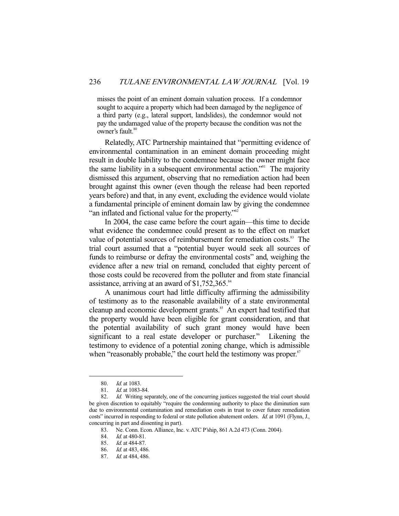misses the point of an eminent domain valuation process. If a condemnor sought to acquire a property which had been damaged by the negligence of a third party (e.g., lateral support, landslides), the condemnor would not pay the undamaged value of the property because the condition was not the owner's fault.<sup>80</sup>

 Relatedly, ATC Partnership maintained that "permitting evidence of environmental contamination in an eminent domain proceeding might result in double liability to the condemnee because the owner might face the same liability in a subsequent environmental action."<sup>81</sup> The majority dismissed this argument, observing that no remediation action had been brought against this owner (even though the release had been reported years before) and that, in any event, excluding the evidence would violate a fundamental principle of eminent domain law by giving the condemnee "an inflated and fictional value for the property."<sup>82</sup>

 In 2004, the case came before the court again—this time to decide what evidence the condemnee could present as to the effect on market value of potential sources of reimbursement for remediation costs.<sup>83</sup> The trial court assumed that a "potential buyer would seek all sources of funds to reimburse or defray the environmental costs" and, weighing the evidence after a new trial on remand, concluded that eighty percent of those costs could be recovered from the polluter and from state financial assistance, arriving at an award of  $$1,752,365$ .<sup>84</sup>

 A unanimous court had little difficulty affirming the admissibility of testimony as to the reasonable availability of a state environmental cleanup and economic development grants.<sup>85</sup> An expert had testified that the property would have been eligible for grant consideration, and that the potential availability of such grant money would have been significant to a real estate developer or purchaser.<sup>86</sup> Likening the testimony to evidence of a potential zoning change, which is admissible when "reasonably probable," the court held the testimony was proper.<sup>87</sup>

<sup>80.</sup> *Id.* at 1083.

<sup>81.</sup> *Id.* at 1083-84.

<sup>82.</sup> Id. Writing separately, one of the concurring justices suggested the trial court should be given discretion to equitably "require the condemning authority to place the diminution sum due to environmental contamination and remediation costs in trust to cover future remediation costs" incurred in responding to federal or state pollution abatement orders. Id. at 1091 (Flynn, J., concurring in part and dissenting in part).

 <sup>83.</sup> Ne. Conn. Econ. Alliance, Inc. v. ATC P'ship, 861 A.2d 473 (Conn. 2004).

 <sup>84.</sup> Id. at 480-81.

 <sup>85.</sup> Id. at 484-87.

 <sup>86.</sup> Id. at 483, 486.

 <sup>87.</sup> Id. at 484, 486.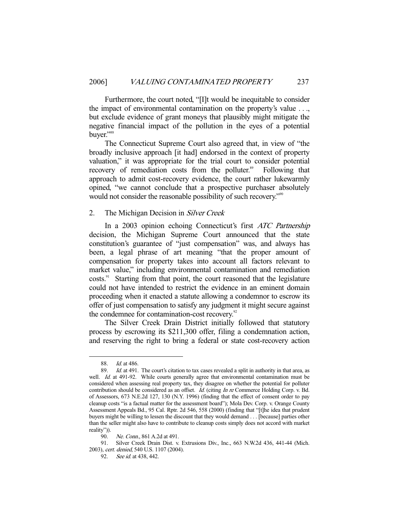Furthermore, the court noted, "[I]t would be inequitable to consider the impact of environmental contamination on the property's value . . ., but exclude evidence of grant moneys that plausibly might mitigate the negative financial impact of the pollution in the eyes of a potential buver."<sup>88</sup>

 The Connecticut Supreme Court also agreed that, in view of "the broadly inclusive approach [it had] endorsed in the context of property valuation," it was appropriate for the trial court to consider potential recovery of remediation costs from the polluter.<sup>89</sup> Following that approach to admit cost-recovery evidence, the court rather lukewarmly opined, "we cannot conclude that a prospective purchaser absolutely would not consider the reasonable possibility of such recovery.<sup>"90</sup>

## 2. The Michigan Decision in *Silver Creek*

In a 2003 opinion echoing Connecticut's first *ATC Partnership* decision, the Michigan Supreme Court announced that the state constitution's guarantee of "just compensation" was, and always has been, a legal phrase of art meaning "that the proper amount of compensation for property takes into account all factors relevant to market value," including environmental contamination and remediation costs.<sup>91</sup> Starting from that point, the court reasoned that the legislature could not have intended to restrict the evidence in an eminent domain proceeding when it enacted a statute allowing a condemnor to escrow its offer of just compensation to satisfy any judgment it might secure against the condemnee for contamination-cost recovery.<sup>92</sup>

 The Silver Creek Drain District initially followed that statutory process by escrowing its \$211,300 offer, filing a condemnation action, and reserving the right to bring a federal or state cost-recovery action

-

 91. Silver Creek Drain Dist. v. Extrusions Div., Inc., 663 N.W.2d 436, 441-44 (Mich. 2003), cert. denied, 540 U.S. 1107 (2004).

 <sup>88.</sup> Id. at 486.

<sup>89.</sup> *Id.* at 491. The court's citation to tax cases revealed a split in authority in that area, as well. Id. at 491-92. While courts generally agree that environmental contamination must be considered when assessing real property tax, they disagree on whether the potential for polluter contribution should be considered as an offset. *Id.* (citing *In re* Commerce Holding Corp. v. Bd. of Assessors, 673 N.E.2d 127, 130 (N.Y. 1996) (finding that the effect of consent order to pay cleanup costs "is a factual matter for the assessment board"); Mola Dev. Corp. v. Orange County Assessment Appeals Bd., 95 Cal. Rptr. 2d 546, 558 (2000) (finding that "[t]he idea that prudent buyers might be willing to lessen the discount that they would demand . . . [because] parties other than the seller might also have to contribute to cleanup costs simply does not accord with market reality")).

 <sup>90.</sup> Ne. Conn., 861 A.2d at 491.

<sup>92.</sup> See id. at 438, 442.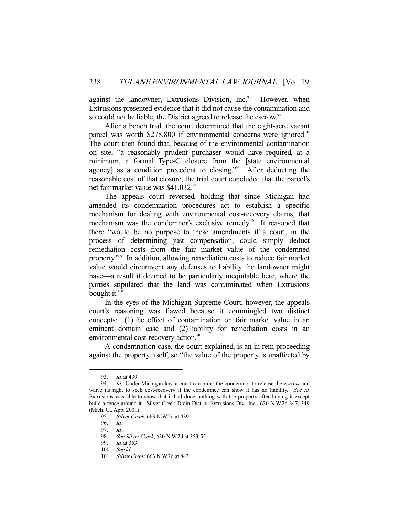against the landowner, Extrusions Division, Inc.<sup>93</sup> However, when Extrusions presented evidence that it did not cause the contamination and so could not be liable, the District agreed to release the escrow.<sup>94</sup>

 After a bench trial, the court determined that the eight-acre vacant parcel was worth \$278,800 if environmental concerns were ignored.<sup>95</sup> The court then found that, because of the environmental contamination on site, "a reasonably prudent purchaser would have required, at a minimum, a formal Type-C closure from the [state environmental agency] as a condition precedent to closing."96 After deducting the reasonable cost of that closure, the trial court concluded that the parcel's net fair market value was \$41,032.<sup>97</sup>

 The appeals court reversed, holding that since Michigan had amended its condemnation procedures act to establish a specific mechanism for dealing with environmental cost-recovery claims, that mechanism was the condemnor's exclusive remedy.<sup>98</sup> It reasoned that there "would be no purpose to these amendments if a court, in the process of determining just compensation, could simply deduct remediation costs from the fair market value of the condemned property."99 In addition, allowing remediation costs to reduce fair market value would circumvent any defenses to liability the landowner might have—a result it deemed to be particularly inequitable here, where the parties stipulated that the land was contaminated when Extrusions bought it. $100$ 

 In the eyes of the Michigan Supreme Court, however, the appeals court's reasoning was flawed because it commingled two distinct concepts: (1) the effect of contamination on fair market value in an eminent domain case and (2) liability for remediation costs in an environmental cost-recovery action.<sup>101</sup>

 A condemnation case, the court explained, is an in rem proceeding against the property itself, so "the value of the property is unaffected by

 <sup>93.</sup> Id. at 439.

<sup>94.</sup> *Id.* Under Michigan law, a court can order the condemnor to release the escrow and waive its right to seek cost-recovery if the condemnee can show it has no liability. See id. Extrusions was able to show that it had done nothing with the property after buying it except build a fence around it. Silver Creek Drain Dist. v. Extrusions Div., Inc., 630 N.W.2d 347, 349 (Mich. Ct. App. 2001).

<sup>95.</sup> Silver Creek, 663 N.W.2d at 439.

 <sup>96.</sup> Id.

 <sup>97.</sup> Id.

<sup>98.</sup> See Silver Creek, 630 N.W.2d at 353-55.

 <sup>99.</sup> Id. at 353.

 <sup>100.</sup> See id.

<sup>101.</sup> Silver Creek, 663 N.W.2d at 443.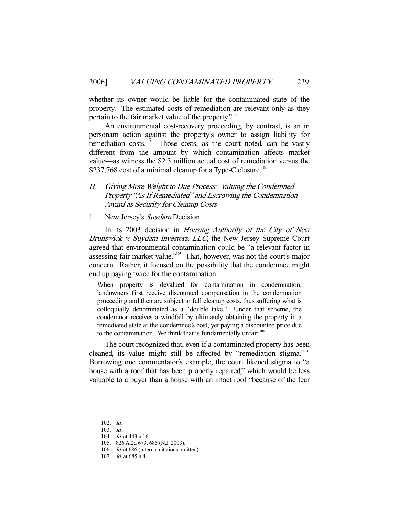whether its owner would be liable for the contaminated state of the property. The estimated costs of remediation are relevant only as they pertain to the fair market value of the property."<sup>102</sup>

 An environmental cost-recovery proceeding, by contrast, is an in personam action against the property's owner to assign liability for remediation  $costs$ .<sup>103</sup> Those costs, as the court noted, can be vastly different from the amount by which contamination affects market value—as witness the \$2.3 million actual cost of remediation versus the \$237,768 cost of a minimal cleanup for a Type-C closure.<sup>104</sup>

- B. Giving More Weight to Due Process: Valuing the Condemned Property "As If Remediated" and Escrowing the Condemnation Award as Security for Cleanup Costs
- 1. New Jersey's Suydam Decision

In its 2003 decision in Housing Authority of the City of New Brunswick v. Suydam Investors, LLC, the New Jersey Supreme Court agreed that environmental contamination could be "a relevant factor in assessing fair market value."105 That, however, was not the court's major concern. Rather, it focused on the possibility that the condemnee might end up paying twice for the contamination:

When property is devalued for contamination in condemnation, landowners first receive discounted compensation in the condemnation proceeding and then are subject to full cleanup costs, thus suffering what is colloquially denominated as a "double take." Under that scheme, the condemnor receives a windfall by ultimately obtaining the property in a remediated state at the condemnee's cost, yet paying a discounted price due to the contamination. We think that is fundamentally unfair.<sup>106</sup>

 The court recognized that, even if a contaminated property has been cleaned, its value might still be affected by "remediation stigma."<sup>107</sup> Borrowing one commentator's example, the court likened stigma to "a house with a roof that has been properly repaired," which would be less valuable to a buyer than a house with an intact roof "because of the fear

 <sup>102.</sup> Id.

 <sup>103.</sup> Id.

 <sup>104.</sup> Id. at 443 n.16.

 <sup>105. 826</sup> A.2d 673, 685 (N.J. 2003).

<sup>106.</sup> *Id.* at 686 (internal citations omitted).

 <sup>107.</sup> Id. at 685 n.4.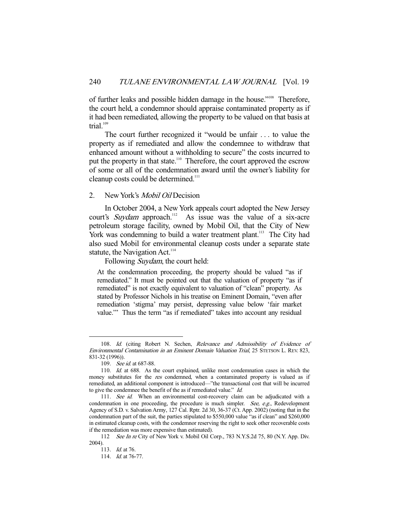of further leaks and possible hidden damage in the house."108 Therefore, the court held, a condemnor should appraise contaminated property as if it had been remediated, allowing the property to be valued on that basis at trial. $109$ 

 The court further recognized it "would be unfair . . . to value the property as if remediated and allow the condemnee to withdraw that enhanced amount without a withholding to secure" the costs incurred to put the property in that state.<sup>110</sup> Therefore, the court approved the escrow of some or all of the condemnation award until the owner's liability for cleanup costs could be determined.<sup>111</sup>

# 2. New York's *Mobil Oil* Decision

 In October 2004, a New York appeals court adopted the New Jersey court's *Suydam* approach.<sup>112</sup> As issue was the value of a six-acre petroleum storage facility, owned by Mobil Oil, that the City of New York was condemning to build a water treatment plant.<sup>113</sup> The City had also sued Mobil for environmental cleanup costs under a separate state statute, the Navigation Act.<sup>114</sup>

Following Suydam, the court held:

At the condemnation proceeding, the property should be valued "as if remediated." It must be pointed out that the valuation of property "as if remediated" is not exactly equivalent to valuation of "clean" property. As stated by Professor Nichols in his treatise on Eminent Domain, "even after remediation 'stigma' may persist, depressing value below 'fair market value.'" Thus the term "as if remediated" takes into account any residual

<sup>108.</sup> Id. (citing Robert N. Sechen, Relevance and Admissibility of Evidence of Environmental Contamination in an Eminent Domain Valuation Trial, 25 STETSON L. REV. 823, 831-32 (1996)).

 <sup>109.</sup> See id. at 687-88.

 <sup>110.</sup> Id. at 688. As the court explained, unlike most condemnation cases in which the money substitutes for the res condemned, when a contaminated property is valued as if remediated, an additional component is introduced—"the transactional cost that will be incurred to give the condemnee the benefit of the as if remediated value." Id.

<sup>111.</sup> See id. When an environmental cost-recovery claim can be adjudicated with a condemnation in one proceeding, the procedure is much simpler. See, e.g., Redevelopment Agency of S.D. v. Salvation Army, 127 Cal. Rptr. 2d 30, 36-37 (Ct. App. 2002) (noting that in the condemnation part of the suit, the parties stipulated to \$550,000 value "as if clean" and \$260,000 in estimated cleanup costs, with the condemnor reserving the right to seek other recoverable costs if the remediation was more expensive than estimated).

<sup>112</sup> See In re City of New York v. Mobil Oil Corp., 783 N.Y.S.2d 75, 80 (N.Y. App. Div. 2004).

 <sup>113.</sup> Id. at 76.

<sup>114.</sup> *Id.* at 76-77.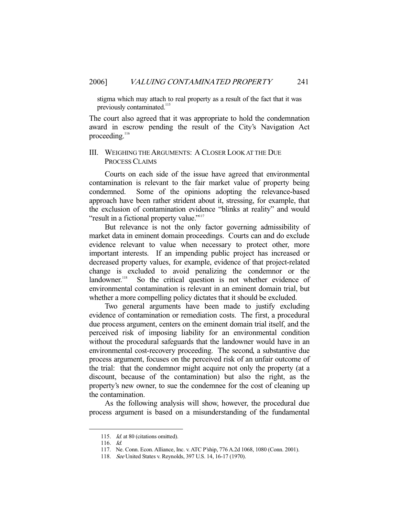stigma which may attach to real property as a result of the fact that it was previously contaminated.<sup>115</sup>

The court also agreed that it was appropriate to hold the condemnation award in escrow pending the result of the City's Navigation Act proceeding.<sup>116</sup>

# III. WEIGHING THE ARGUMENTS: A CLOSER LOOK AT THE DUE PROCESS CLAIMS

 Courts on each side of the issue have agreed that environmental contamination is relevant to the fair market value of property being condemned. Some of the opinions adopting the relevance-based approach have been rather strident about it, stressing, for example, that the exclusion of contamination evidence "blinks at reality" and would "result in a fictional property value."<sup>117</sup>

 But relevance is not the only factor governing admissibility of market data in eminent domain proceedings. Courts can and do exclude evidence relevant to value when necessary to protect other, more important interests. If an impending public project has increased or decreased property values, for example, evidence of that project-related change is excluded to avoid penalizing the condemnor or the landowner.<sup>118</sup> So the critical question is not whether evidence of So the critical question is not whether evidence of environmental contamination is relevant in an eminent domain trial, but whether a more compelling policy dictates that it should be excluded.

 Two general arguments have been made to justify excluding evidence of contamination or remediation costs. The first, a procedural due process argument, centers on the eminent domain trial itself, and the perceived risk of imposing liability for an environmental condition without the procedural safeguards that the landowner would have in an environmental cost-recovery proceeding. The second, a substantive due process argument, focuses on the perceived risk of an unfair outcome of the trial: that the condemnor might acquire not only the property (at a discount, because of the contamination) but also the right, as the property's new owner, to sue the condemnee for the cost of cleaning up the contamination.

 As the following analysis will show, however, the procedural due process argument is based on a misunderstanding of the fundamental

<sup>115.</sup> *Id.* at 80 (citations omitted).

 <sup>116.</sup> Id.

 <sup>117.</sup> Ne. Conn. Econ. Alliance, Inc. v. ATC P'ship, 776 A.2d 1068, 1080 (Conn. 2001).

 <sup>118.</sup> See United States v. Reynolds, 397 U.S. 14, 16-17 (1970).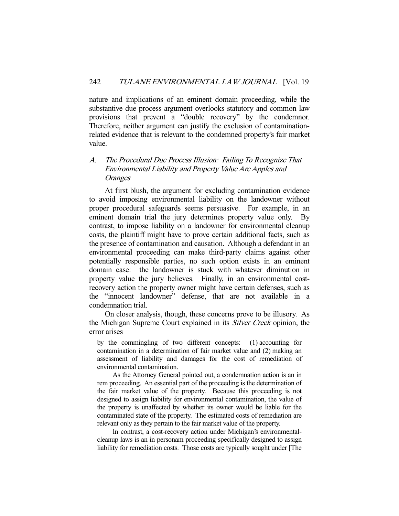nature and implications of an eminent domain proceeding, while the substantive due process argument overlooks statutory and common law provisions that prevent a "double recovery" by the condemnor. Therefore, neither argument can justify the exclusion of contaminationrelated evidence that is relevant to the condemned property's fair market value.

# A. The Procedural Due Process Illusion: Failing To Recognize That Environmental Liability and Property Value Are Apples and **Oranges**

 At first blush, the argument for excluding contamination evidence to avoid imposing environmental liability on the landowner without proper procedural safeguards seems persuasive. For example, in an eminent domain trial the jury determines property value only. By contrast, to impose liability on a landowner for environmental cleanup costs, the plaintiff might have to prove certain additional facts, such as the presence of contamination and causation. Although a defendant in an environmental proceeding can make third-party claims against other potentially responsible parties, no such option exists in an eminent domain case: the landowner is stuck with whatever diminution in property value the jury believes. Finally, in an environmental costrecovery action the property owner might have certain defenses, such as the "innocent landowner" defense, that are not available in a condemnation trial.

 On closer analysis, though, these concerns prove to be illusory. As the Michigan Supreme Court explained in its Silver Creek opinion, the error arises

by the commingling of two different concepts: (1) accounting for contamination in a determination of fair market value and (2) making an assessment of liability and damages for the cost of remediation of environmental contamination.

 As the Attorney General pointed out, a condemnation action is an in rem proceeding. An essential part of the proceeding is the determination of the fair market value of the property. Because this proceeding is not designed to assign liability for environmental contamination, the value of the property is unaffected by whether its owner would be liable for the contaminated state of the property. The estimated costs of remediation are relevant only as they pertain to the fair market value of the property.

 In contrast, a cost-recovery action under Michigan's environmentalcleanup laws is an in personam proceeding specifically designed to assign liability for remediation costs. Those costs are typically sought under [The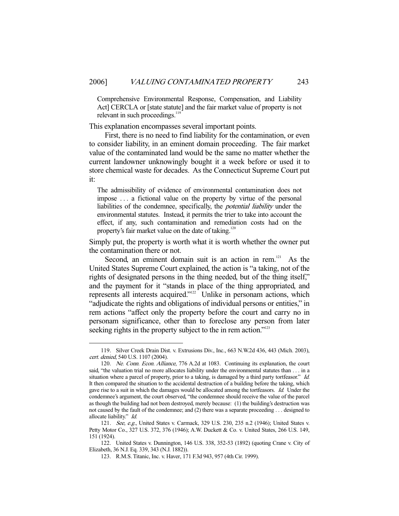Comprehensive Environmental Response, Compensation, and Liability Act] CERCLA or [state statute] and the fair market value of property is not relevant in such proceedings.<sup>1</sup>

This explanation encompasses several important points.

 First, there is no need to find liability for the contamination, or even to consider liability, in an eminent domain proceeding. The fair market value of the contaminated land would be the same no matter whether the current landowner unknowingly bought it a week before or used it to store chemical waste for decades. As the Connecticut Supreme Court put it:

The admissibility of evidence of environmental contamination does not impose . . . a fictional value on the property by virtue of the personal liabilities of the condemnee, specifically, the potential liability under the environmental statutes. Instead, it permits the trier to take into account the effect, if any, such contamination and remediation costs had on the property's fair market value on the date of taking.<sup>120</sup>

Simply put, the property is worth what it is worth whether the owner put the contamination there or not.

Second, an eminent domain suit is an action in rem.<sup>121</sup> As the United States Supreme Court explained, the action is "a taking, not of the rights of designated persons in the thing needed, but of the thing itself," and the payment for it "stands in place of the thing appropriated, and represents all interests acquired."122 Unlike in personam actions, which "adjudicate the rights and obligations of individual persons or entities," in rem actions "affect only the property before the court and carry no in personam significance, other than to foreclose any person from later seeking rights in the property subject to the in rem action."<sup>123</sup>

 <sup>119.</sup> Silver Creek Drain Dist. v. Extrusions Div., Inc., 663 N.W.2d 436, 443 (Mich. 2003), cert. denied, 540 U.S. 1107 (2004).

<sup>120.</sup> Ne. Conn. Econ. Alliance, 776 A.2d at 1083. Continuing its explanation, the court said, "the valuation trial no more allocates liability under the environmental statutes than . . . in a situation where a parcel of property, prior to a taking, is damaged by a third party tortfeasor." Id. It then compared the situation to the accidental destruction of a building before the taking, which gave rise to a suit in which the damages would be allocated among the tortfeasors. Id. Under the condemnee's argument, the court observed, "the condemnee should receive the value of the parcel as though the building had not been destroyed, merely because: (1) the building's destruction was not caused by the fault of the condemnee; and (2) there was a separate proceeding . . . designed to allocate liability." Id.

 <sup>121.</sup> See, e.g., United States v. Carmack, 329 U.S. 230, 235 n.2 (1946); United States v. Petty Motor Co., 327 U.S. 372, 376 (1946); A.W. Duckett & Co. v. United States, 266 U.S. 149, 151 (1924).

 <sup>122.</sup> United States v. Dunnington, 146 U.S. 338, 352-53 (1892) (quoting Crane v. City of Elizabeth, 36 N.J. Eq. 339, 343 (N.J. 1882)).

 <sup>123.</sup> R.M.S. Titanic, Inc. v. Haver, 171 F.3d 943, 957 (4th Cir. 1999).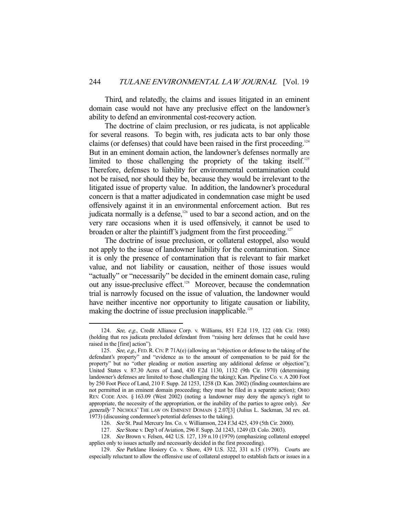Third, and relatedly, the claims and issues litigated in an eminent domain case would not have any preclusive effect on the landowner's ability to defend an environmental cost-recovery action.

 The doctrine of claim preclusion, or res judicata, is not applicable for several reasons. To begin with, res judicata acts to bar only those claims (or defenses) that could have been raised in the first proceeding.<sup>124</sup> But in an eminent domain action, the landowner's defenses normally are limited to those challenging the propriety of the taking itself.<sup>125</sup> Therefore, defenses to liability for environmental contamination could not be raised, nor should they be, because they would be irrelevant to the litigated issue of property value. In addition, the landowner's procedural concern is that a matter adjudicated in condemnation case might be used offensively against it in an environmental enforcement action. But res judicata normally is a defense, $126$  used to bar a second action, and on the very rare occasions when it is used offensively, it cannot be used to broaden or alter the plaintiff's judgment from the first proceeding.<sup>127</sup>

 The doctrine of issue preclusion, or collateral estoppel, also would not apply to the issue of landowner liability for the contamination. Since it is only the presence of contamination that is relevant to fair market value, and not liability or causation, neither of those issues would "actually" or "necessarily" be decided in the eminent domain case, ruling out any issue-preclusive effect.<sup>128</sup> Moreover, because the condemnation trial is narrowly focused on the issue of valuation, the landowner would have neither incentive nor opportunity to litigate causation or liability, making the doctrine of issue preclusion inapplicable.<sup>129</sup>

 <sup>124.</sup> See, e.g., Credit Alliance Corp. v. Williams, 851 F.2d 119, 122 (4th Cir. 1988) (holding that res judicata precluded defendant from "raising here defenses that he could have raised in the [first] action").

<sup>125.</sup> See, e.g., FED. R. CIV. P. 71A(e) (allowing an "objection or defense to the taking of the defendant's property" and "evidence as to the amount of compensation to be paid for the property" but no "other pleading or motion asserting any additional defense or objection"); United States v. 87.30 Acres of Land, 430 F.2d 1130, 1132 (9th Cir. 1970) (determining landowner's defenses are limited to those challenging the taking); Kan. Pipeline Co. v. A 200 Foot by 250 Foot Piece of Land, 210 F. Supp. 2d 1253, 1258 (D. Kan. 2002) (finding counterclaims are not permitted in an eminent domain proceeding; they must be filed in a separate action); OHIO REV. CODE ANN. § 163.09 (West 2002) (noting a landowner may deny the agency's right to appropriate, the necessity of the appropriation, or the inability of the parties to agree only). See generally 7 NICHOLS' THE LAW ON EMINENT DOMAIN § 2.07[3] (Julius L. Sackman, 3d rev. ed. 1973) (discussing condemnee's potential defenses to the taking).

 <sup>126.</sup> See St. Paul Mercury Ins. Co. v. Williamson, 224 F.3d 425, 439 (5th Cir. 2000).

 <sup>127.</sup> See Stone v. Dep't of Aviation, 296 F. Supp. 2d 1243, 1249 (D. Colo. 2003).

 <sup>128.</sup> See Brown v. Felsen, 442 U.S. 127, 139 n.10 (1979) (emphasizing collateral estoppel applies only to issues actually and necessarily decided in the first proceeding).

 <sup>129.</sup> See Parklane Hosiery Co. v. Shore, 439 U.S. 322, 331 n.15 (1979). Courts are especially reluctant to allow the offensive use of collateral estoppel to establish facts or issues in a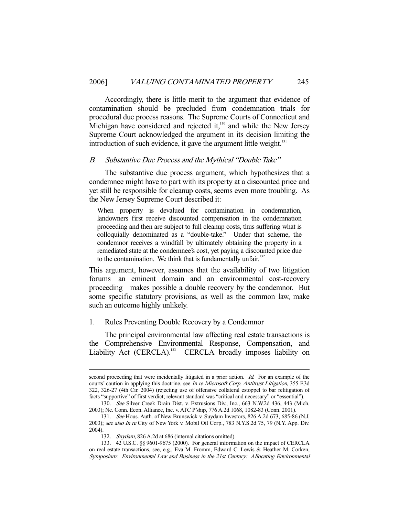Accordingly, there is little merit to the argument that evidence of contamination should be precluded from condemnation trials for procedural due process reasons. The Supreme Courts of Connecticut and Michigan have considered and rejected it, $130$  and while the New Jersey Supreme Court acknowledged the argument in its decision limiting the introduction of such evidence, it gave the argument little weight. $131$ 

#### B. Substantive Due Process and the Mythical "Double Take"

 The substantive due process argument, which hypothesizes that a condemnee might have to part with its property at a discounted price and yet still be responsible for cleanup costs, seems even more troubling. As the New Jersey Supreme Court described it:

When property is devalued for contamination in condemnation, landowners first receive discounted compensation in the condemnation proceeding and then are subject to full cleanup costs, thus suffering what is colloquially denominated as a "double-take." Under that scheme, the condemnor receives a windfall by ultimately obtaining the property in a remediated state at the condemnee's cost, yet paying a discounted price due to the contamination. We think that is fundamentally unfair. $132$ 

This argument, however, assumes that the availability of two litigation forums—an eminent domain and an environmental cost-recovery proceeding—makes possible a double recovery by the condemnor. But some specific statutory provisions, as well as the common law, make such an outcome highly unlikely.

## 1. Rules Preventing Double Recovery by a Condemnor

 The principal environmental law affecting real estate transactions is the Comprehensive Environmental Response, Compensation, and Liability Act (CERCLA).<sup>133</sup> CERCLA broadly imposes liability on

second proceeding that were incidentally litigated in a prior action. *Id.* For an example of the courts' caution in applying this doctrine, see In re Microsoft Corp. Antitrust Litigation, 355 F.3d 322, 326-27 (4th Cir. 2004) (rejecting use of offensive collateral estoppel to bar relitigation of facts "supportive" of first verdict; relevant standard was "critical and necessary" or "essential").

 <sup>130.</sup> See Silver Creek Drain Dist. v. Extrusions Div., Inc., 663 N.W.2d 436, 443 (Mich. 2003); Ne. Conn. Econ. Alliance, Inc. v. ATC P'ship, 776 A.2d 1068, 1082-83 (Conn. 2001).

 <sup>131.</sup> See Hous. Auth. of New Brunswick v. Suydam Investors, 826 A.2d 673, 685-86 (N.J. 2003); see also In re City of New York v. Mobil Oil Corp., 783 N.Y.S.2d 75, 79 (N.Y. App. Div. 2004).

 <sup>132.</sup> Suydam, 826 A.2d at 686 (internal citations omitted).

 <sup>133. 42</sup> U.S.C. §§ 9601-9675 (2000). For general information on the impact of CERCLA on real estate transactions, see, e.g., Eva M. Fromm, Edward C. Lewis & Heather M. Corken, Symposium: Environmental Law and Business in the 21st Century: Allocating Environmental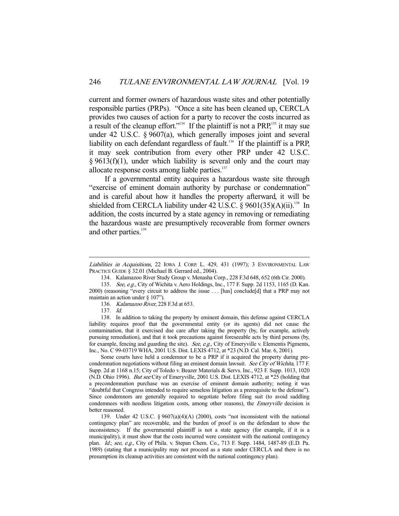current and former owners of hazardous waste sites and other potentially responsible parties (PRPs). "Once a site has been cleaned up, CERCLA provides two causes of action for a party to recover the costs incurred as a result of the cleanup effort."<sup>134</sup> If the plaintiff is not a PRP,<sup>135</sup> it may sue under 42 U.S.C. § 9607(a), which generally imposes joint and several liability on each defendant regardless of fault.<sup>136</sup> If the plaintiff is a PRP, it may seek contribution from every other PRP under 42 U.S.C.  $§ 9613(f)(1)$ , under which liability is several only and the court may allocate response costs among liable parties.<sup>137</sup>

 If a governmental entity acquires a hazardous waste site through "exercise of eminent domain authority by purchase or condemnation" and is careful about how it handles the property afterward, it will be shielded from CERCLA liability under 42 U.S.C.  $\frac{\delta}{\delta}$  9601(35)(A)(ii).<sup>138</sup> In addition, the costs incurred by a state agency in removing or remediating the hazardous waste are presumptively recoverable from former owners and other parties.<sup>139</sup>

-

 Some courts have held a condemnor to be a PRP if it acquired the property during precondemnation negotiations without filing an eminent domain lawsuit. See City of Wichita, 177 F. Supp. 2d at 1168 n.15; City of Toledo v. Beazer Materials & Servs. Inc., 923 F. Supp. 1013, 1020 (N.D. Ohio 1996). But see City of Emeryville, 2001 U.S. Dist. LEXIS 4712, at \*25 (holding that a precondemnation purchase was an exercise of eminent domain authority; noting it was "doubtful that Congress intended to require senseless litigation as a prerequisite to the defense"). Since condemnors are generally required to negotiate before filing suit (to avoid saddling condemnees with needless litigation costs, among other reasons), the *Emeryville* decision is better reasoned.

 139. Under 42 U.S.C. § 9607(a)(4)(A) (2000), costs "not inconsistent with the national contingency plan" are recoverable, and the burden of proof is on the defendant to show the inconsistency. If the governmental plaintiff is not a state agency (for example, if it is a municipality), it must show that the costs incurred were consistent with the national contingency plan. *Id.*; see, e.g., City of Phila. v. Stepan Chem. Co., 713 F. Supp. 1484, 1487-89 (E.D. Pa. 1989) (stating that a municipality may not proceed as a state under CERCLA and there is no presumption its cleanup activities are consistent with the national contingency plan).

Liabilities in Acquisitions, 22 IOWA J. CORP. L. 429, 431 (1997); 3 ENVIRONMENTAL LAW PRACTICE GUIDE § 32.01 (Michael B. Gerrard ed., 2004).

 <sup>134.</sup> Kalamazoo River Study Group v. Menasha Corp., 228 F.3d 648, 652 (6th Cir. 2000).

 <sup>135.</sup> See, e.g., City of Wichita v. Aero Holdings, Inc., 177 F. Supp. 2d 1153, 1165 (D. Kan. 2000) (reasoning "every circuit to address the issue . . . [has] conclude[d] that a PRP may not maintain an action under § 107").

<sup>136.</sup> Kalamazoo River, 228 F.3d at 653.

 <sup>137.</sup> Id.

 <sup>138.</sup> In addition to taking the property by eminent domain, this defense against CERCLA liability requires proof that the governmental entity (or its agents) did not cause the contamination, that it exercised due care after taking the property (by, for example, actively pursuing remediation), and that it took precautions against foreseeable acts by third persons (by, for example, fencing and guarding the site). See, e.g., City of Emeryville v. Elementis Pigments, Inc., No. C 99-03719 WHA, 2001 U.S. Dist. LEXIS 4712, at \*23 (N.D. Cal. Mar. 6, 2001).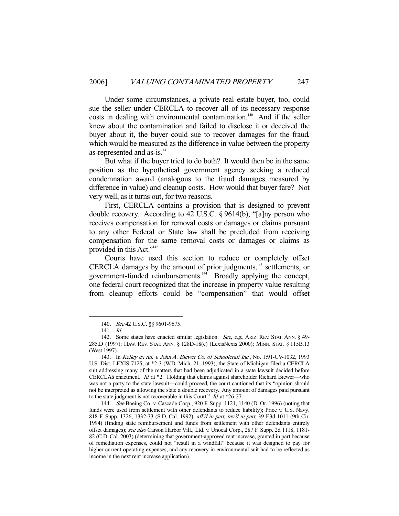Under some circumstances, a private real estate buyer, too, could sue the seller under CERCLA to recover all of its necessary response costs in dealing with environmental contamination.<sup>140</sup> And if the seller knew about the contamination and failed to disclose it or deceived the buyer about it, the buyer could sue to recover damages for the fraud, which would be measured as the difference in value between the property as-represented and as-is.<sup>141</sup>

 But what if the buyer tried to do both? It would then be in the same position as the hypothetical government agency seeking a reduced condemnation award (analogous to the fraud damages measured by difference in value) and cleanup costs. How would that buyer fare? Not very well, as it turns out, for two reasons.

 First, CERCLA contains a provision that is designed to prevent double recovery. According to 42 U.S.C. § 9614(b), "[a]ny person who receives compensation for removal costs or damages or claims pursuant to any other Federal or State law shall be precluded from receiving compensation for the same removal costs or damages or claims as provided in this Act."<sup>142</sup>

 Courts have used this section to reduce or completely offset CERCLA damages by the amount of prior judgments,<sup>143</sup> settlements, or government-funded reimbursements.144 Broadly applying the concept, one federal court recognized that the increase in property value resulting from cleanup efforts could be "compensation" that would offset

<sup>140.</sup> See 42 U.S.C. §§ 9601-9675.

 <sup>141.</sup> Id.

<sup>142.</sup> Some states have enacted similar legislation. See, e.g., ARIZ. REV. STAT. ANN. § 49-285.D (1997); HAW. REV. STAT. ANN. § 128D-18(e) (LexisNexis 2000); MINN. STAT. § 115B.13 (West 1997).

 <sup>143.</sup> In Kelley ex rel. v. John A. Biewer Co. of Schoolcraft Inc., No. 1:91-CV-1032, 1993 U.S. Dist. LEXIS 7125, at \*2-3 (W.D. Mich. 21, 1993), the State of Michigan filed a CERCLA suit addressing many of the matters that had been adjudicated in a state lawsuit decided before CERCLA's enactment. Id. at \*2. Holding that claims against shareholder Richard Biewer—who was not a party to the state lawsuit—could proceed, the court cautioned that its "opinion should not be interpreted as allowing the state a double recovery. Any amount of damages paid pursuant to the state judgment is not recoverable in this Court." Id. at \*26-27.

 <sup>144.</sup> See Boeing Co. v. Cascade Corp., 920 F. Supp. 1121, 1140 (D. Or. 1996) (noting that funds were used from settlement with other defendants to reduce liability); Price v. U.S. Navy, 818 F. Supp. 1326, 1332-33 (S.D. Cal. 1992), aff'd in part, rev'd in part, 39 F.3d 1011 (9th Cir. 1994) (finding state reimbursement and funds from settlement with other defendants entirely offset damages); see also Carson Harbor Vill., Ltd. v. Unocal Corp., 287 F. Supp. 2d 1118, 1181-82 (C.D. Cal. 2003) (determining that government-approved rent increase, granted in part because of remediation expenses, could not "result in a windfall" because it was designed to pay for higher current operating expenses, and any recovery in environmental suit had to be reflected as income in the next rent increase application).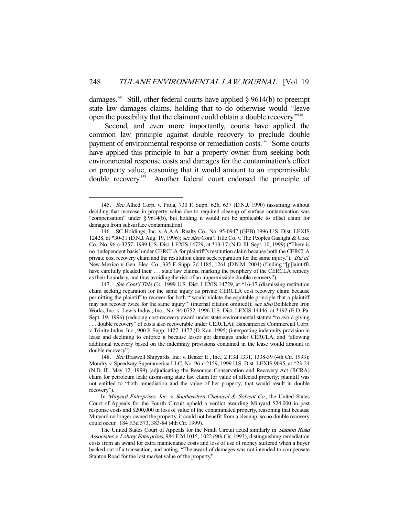damages.<sup>145</sup> Still, other federal courts have applied  $\S$  9614(b) to preempt state law damages claims, holding that to do otherwise would "leave open the possibility that the claimant could obtain a double recovery."146

 Second, and even more importantly, courts have applied the common law principle against double recovery to preclude double payment of environmental response or remediation costs.<sup>147</sup> Some courts have applied this principle to bar a property owner from seeking both environmental response costs and damages for the contamination's effect on property value, reasoning that it would amount to an impermissible double recovery.<sup>148</sup> Another federal court endorsed the principle of

 <sup>145.</sup> See Allied Corp. v. Frola, 730 F. Supp. 626, 637 (D.N.J. 1990) (assuming without deciding that increase in property value due to required cleanup of surface contamination was "compensation" under § 9614(b), but holding it would not be applicable to offset claim for damages from subsurface contamination).

 <sup>146.</sup> SC Holdings, Inc. v. A.A.A. Realty Co., No. 95-0947 (GEB) 1996 U.S. Dist. LEXIS 12428, at \*30-31 (D.N.J. Aug. 19, 1996); see also Cont'l Title Co. v. The Peoples Gaslight & Coke Co., No. 96-c-3257, 1999 U.S. Dist. LEXIS 14729, at \*13-17 (N.D. Ill. Sept. 10, 1999) ("There is no 'independent basis' under CERCLA for plaintiff's restitution claim because both the CERCLA private cost recovery claim and the restitution claim seek reparation for the same injury."). But cf. New Mexico v. Gen. Elec. Co., 335 F. Supp. 2d 1185, 1261 (D.N.M. 2004) (finding "[p]laintiffs have carefully pleaded their . . . state law claims, marking the periphery of the CERCLA remedy as their boundary, and thus avoiding the risk of an impermissible double recovery").

<sup>147.</sup> See Cont'l Title Co., 1999 U.S. Dist. LEXIS 14729, at \*16-17 (dismissing restitution claim seeking reparation for the same injury as private CERCLA cost recovery claim because permitting the plaintiff to recover for both "'would violate the equitable principle that a plaintiff may not recover twice for the same injury" (internal citation omitted)); see also Bethlehem Iron Works, Inc. v. Lewis Indus., Inc., No. 94-0752, 1996 U.S. Dist. LEXIS 14446, at \*192 (E.D. Pa. Sept. 19, 1996) (reducing cost-recovery award under state environmental statute "to avoid giving . . . double recovery" of costs also recoverable under CERCLA); Bancamerica Commercial Corp. v. Trinity Indus. Inc., 900 F. Supp. 1427, 1477 (D. Kan. 1995) (interpreting indemnity provision in lease and declining to enforce it because lessor got damages under CERCLA, and "allowing additional recovery based on the indemnity provisions contained in the lease would amount to double recovery").

 <sup>148.</sup> See Braswell Shipyards, Inc. v. Beazer E., Inc., 2 F.3d 1331, 1338-39 (4th Cir. 1993); Mondry v. Speedway Superamerica LLC, No. 96-c-2159, 1999 U.S. Dist. LEXIS 9095, at \*23-24 (N.D. Ill. May 12, 1999) (adjudicating the Resource Conservation and Recovery Act (RCRA) claim for petroleum leak; dismissing state law claim for value of affected property; plaintiff was not entitled to "both remediation and the value of her property; that would result in double recovery").

In Minyard Enterprises, Inc. v. Southeastern Chemical & Solvent Co., the United States Court of Appeals for the Fourth Circuit upheld a verdict awarding Minyard \$24,000 in past response costs and \$200,000 in loss of value of the contaminated property, reasoning that because Minyard no longer owned the property, it could not benefit from a cleanup, so no double recovery could occur. 184 F.3d 373, 383-84 (4th Cir. 1999).

The United States Court of Appeals for the Ninth Circuit acted similarly in Stanton Road Associates v. Lohrey Enterprises, 984 F.2d 1015, 1022 (9th Cir. 1993), distinguishing remediation costs from an award for extra maintenance costs and loss of use of money suffered when a buyer backed out of a transaction, and noting, "The award of damages was not intended to compensate Stanton Road for the lost market value of the property."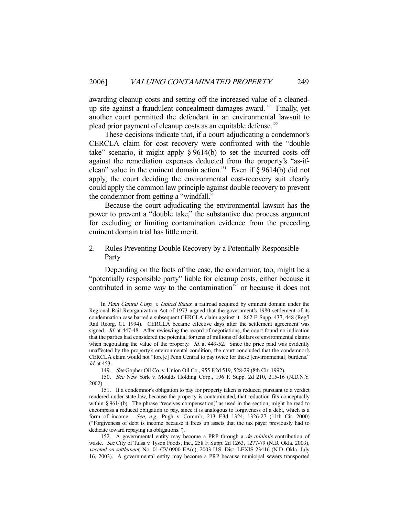awarding cleanup costs and setting off the increased value of a cleanedup site against a fraudulent concealment damages award.<sup>149</sup> Finally, yet another court permitted the defendant in an environmental lawsuit to plead prior payment of cleanup costs as an equitable defense.<sup>150</sup>

 These decisions indicate that, if a court adjudicating a condemnor's CERCLA claim for cost recovery were confronted with the "double take" scenario, it might apply  $\S 9614(b)$  to set the incurred costs off against the remediation expenses deducted from the property's "as-ifclean" value in the eminent domain action.<sup>151</sup> Even if  $\bar{\S}$  9614(b) did not apply, the court deciding the environmental cost-recovery suit clearly could apply the common law principle against double recovery to prevent the condemnor from getting a "windfall."

 Because the court adjudicating the environmental lawsuit has the power to prevent a "double take," the substantive due process argument for excluding or limiting contamination evidence from the preceding eminent domain trial has little merit.

2. Rules Preventing Double Recovery by a Potentially Responsible Party

 Depending on the facts of the case, the condemnor, too, might be a "potentially responsible party" liable for cleanup costs, either because it contributed in some way to the contamination<sup>152</sup> or because it does not

In Penn Central Corp. v. United States, a railroad acquired by eminent domain under the Regional Rail Reorganization Act of 1973 argued that the government's 1980 settlement of its condemnation case barred a subsequent CERCLA claim against it. 862 F. Supp. 437, 448 (Reg'l Rail Reorg. Ct. 1994). CERCLA became effective days after the settlement agreement was signed. *Id.* at 447-48. After reviewing the record of negotiations, the court found no indication that the parties had considered the potential for tens of millions of dollars of environmental claims when negotiating the value of the property. Id. at  $449-52$ . Since the price paid was evidently unaffected by the property's environmental condition, the court concluded that the condemnor's CERCLA claim would not "forc[e] Penn Central to pay twice for these [environmental] burdens." Id. at 453.

 <sup>149.</sup> See Gopher Oil Co. v. Union Oil Co., 955 F.2d 519, 528-29 (8th Cir. 1992).

 <sup>150.</sup> See New York v. Moulds Holding Corp., 196 F. Supp. 2d 210, 215-16 (N.D.N.Y. 2002).

 <sup>151.</sup> If a condemnor's obligation to pay for property taken is reduced, pursuant to a verdict rendered under state law, because the property is contaminated, that reduction fits conceptually within § 9614(b). The phrase "receives compensation," as used in the section, might be read to encompass a reduced obligation to pay, since it is analogous to forgiveness of a debt, which is a form of income. See, e.g., Pugh v. Comm'r, 213 F.3d 1324, 1326-27 (11th Cir. 2000) ("Forgiveness of debt is income because it frees up assets that the tax payer previously had to dedicate toward repaying its obligations.").

<sup>152.</sup> A governmental entity may become a PRP through a de minimis contribution of waste. See City of Tulsa v. Tyson Foods, Inc., 258 F. Supp. 2d 1263, 1277-79 (N.D. Okla. 2003), vacated on settlement, No. 01-CV-0900 EA(c), 2003 U.S. Dist. LEXIS 23416 (N.D. Okla. July 16, 2003). A governmental entity may become a PRP because municipal sewers transported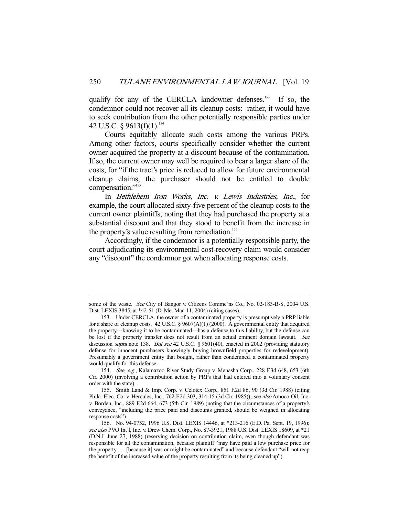qualify for any of the CERCLA landowner defenses.<sup>153</sup> If so, the condemnor could not recover all its cleanup costs: rather, it would have to seek contribution from the other potentially responsible parties under 42 U.S.C. § 9613(f)(1).<sup>154</sup>

 Courts equitably allocate such costs among the various PRPs. Among other factors, courts specifically consider whether the current owner acquired the property at a discount because of the contamination. If so, the current owner may well be required to bear a larger share of the costs, for "if the tract's price is reduced to allow for future environmental cleanup claims, the purchaser should not be entitled to double compensation."<sup>155</sup>

 In Bethlehem Iron Works, Inc. v. Lewis Industries, Inc., for example, the court allocated sixty-five percent of the cleanup costs to the current owner plaintiffs, noting that they had purchased the property at a substantial discount and that they stood to benefit from the increase in the property's value resulting from remediation.<sup>156</sup>

 Accordingly, if the condemnor is a potentially responsible party, the court adjudicating its environmental cost-recovery claim would consider any "discount" the condemnor got when allocating response costs.

some of the waste. See City of Bangor v. Citizens Commc'ns Co., No. 02-183-B-S, 2004 U.S. Dist. LEXIS 3845, at \*42-51 (D. Me. Mar. 11, 2004) (citing cases).

 <sup>153.</sup> Under CERCLA, the owner of a contaminated property is presumptively a PRP liable for a share of cleanup costs. 42 U.S.C. § 9607(A)(1) (2000). A governmental entity that acquired the property—knowing it to be contaminated—has a defense to this liability, but the defense can be lost if the property transfer does not result from an actual eminent domain lawsuit. See discussion *supra* note 138. But see 42 U.S.C. § 9601(40), enacted in 2002 (providing statutory defense for innocent purchasers knowingly buying brownfield properties for redevelopment). Presumably a government entity that bought, rather than condemned, a contaminated property would qualify for this defense.

 <sup>154.</sup> See, e.g., Kalamazoo River Study Group v. Menasha Corp., 228 F.3d 648, 653 (6th Cir. 2000) (involving a contribution action by PRPs that had entered into a voluntary consent order with the state).

 <sup>155.</sup> Smith Land & Imp. Corp. v. Celotex Corp., 851 F.2d 86, 90 (3d Cir. 1988) (citing Phila. Elec. Co. v. Hercules, Inc., 762 F.2d 303, 314-15 (3d Cir. 1985)); see also Amoco Oil, Inc. v. Borden, Inc., 889 F.2d 664, 673 (5th Cir. 1989) (noting that the circumstances of a property's conveyance, "including the price paid and discounts granted, should be weighed in allocating response costs").

 <sup>156.</sup> No. 94-0752, 1996 U.S. Dist. LEXIS 14446, at \*213-216 (E.D. Pa. Sept. 19, 1996); see also PVO Int'l, Inc. v. Drew Chem. Corp., No. 87-3921, 1988 U.S. Dist. LEXIS 18609, at \*21 (D.N.J. June 27, 1988) (reserving decision on contribution claim, even though defendant was responsible for all the contamination, because plaintiff "may have paid a low purchase price for the property . . . [because it] was or might be contaminated" and because defendant "will not reap the benefit of the increased value of the property resulting from its being cleaned up").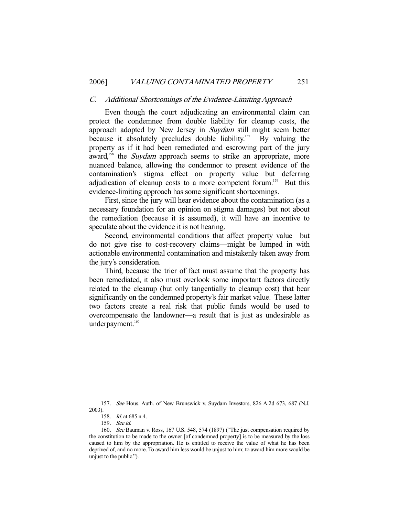#### C. Additional Shortcomings of the Evidence-Limiting Approach

 Even though the court adjudicating an environmental claim can protect the condemnee from double liability for cleanup costs, the approach adopted by New Jersey in *Suydam* still might seem better because it absolutely precludes double liability.<sup>157</sup> By valuing the property as if it had been remediated and escrowing part of the jury award,<sup>158</sup> the *Suydam* approach seems to strike an appropriate, more nuanced balance, allowing the condemnor to present evidence of the contamination's stigma effect on property value but deferring adjudication of cleanup costs to a more competent forum.<sup>159</sup> But this evidence-limiting approach has some significant shortcomings.

 First, since the jury will hear evidence about the contamination (as a necessary foundation for an opinion on stigma damages) but not about the remediation (because it is assumed), it will have an incentive to speculate about the evidence it is not hearing.

 Second, environmental conditions that affect property value—but do not give rise to cost-recovery claims—might be lumped in with actionable environmental contamination and mistakenly taken away from the jury's consideration.

 Third, because the trier of fact must assume that the property has been remediated, it also must overlook some important factors directly related to the cleanup (but only tangentially to cleanup cost) that bear significantly on the condemned property's fair market value. These latter two factors create a real risk that public funds would be used to overcompensate the landowner—a result that is just as undesirable as underpayment.<sup>160</sup>

 <sup>157.</sup> See Hous. Auth. of New Brunswick v. Suydam Investors, 826 A.2d 673, 687 (N.J. 2003).

 <sup>158.</sup> Id. at 685 n.4.

 <sup>159.</sup> See id.

 <sup>160.</sup> See Bauman v. Ross, 167 U.S. 548, 574 (1897) ("The just compensation required by the constitution to be made to the owner [of condemned property] is to be measured by the loss caused to him by the appropriation. He is entitled to receive the value of what he has been deprived of, and no more. To award him less would be unjust to him; to award him more would be unjust to the public.").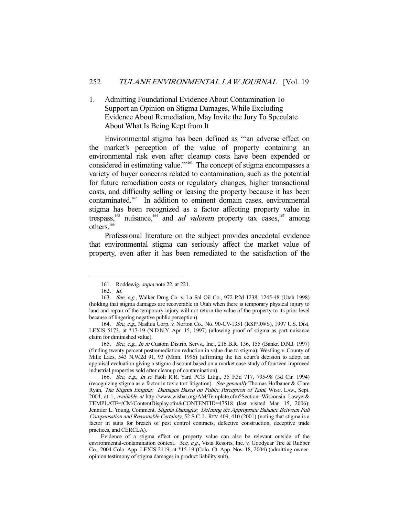1. Admitting Foundational Evidence About Contamination To Support an Opinion on Stigma Damages, While Excluding Evidence About Remediation, May Invite the Jury To Speculate About What Is Being Kept from It

 Environmental stigma has been defined as "'an adverse effect on the market's perception of the value of property containing an environmental risk even after cleanup costs have been expended or considered in estimating value."<sup>161</sup> The concept of stigma encompasses a variety of buyer concerns related to contamination, such as the potential for future remediation costs or regulatory changes, higher transactional costs, and difficulty selling or leasing the property because it has been contaminated.<sup>162</sup> In addition to eminent domain cases, environmental stigma has been recognized as a factor affecting property value in trespass,<sup>163</sup> nuisance,<sup>164</sup> and *ad valorem* property tax cases,<sup>165</sup> among others.<sup>166</sup>

 Professional literature on the subject provides anecdotal evidence that environmental stigma can seriously affect the market value of property, even after it has been remediated to the satisfaction of the

<sup>161.</sup> Roddewig, *supra* note 22, at 221.

 <sup>162.</sup> Id.

 <sup>163.</sup> See, e.g., Walker Drug Co. v. La Sal Oil Co., 972 P.2d 1238, 1245-48 (Utah 1998) (holding that stigma damages are recoverable in Utah when there is temporary physical injury to land and repair of the temporary injury will not return the value of the property to its prior level because of lingering negative public perception).

 <sup>164.</sup> See, e.g., Nashua Corp. v. Norton Co., No. 90-CV-1351 (RSP/RWS), 1997 U.S. Dist. LEXIS 5173, at \*17-19 (N.D.N.Y. Apr. 15, 1997) (allowing proof of stigma as part nuisance claim for diminished value).

 <sup>165.</sup> See, e.g., In re Custom Distrib. Servs., Inc., 216 B.R. 136, 155 (Bankr. D.N.J. 1997) (finding twenty percent postremediation reduction in value due to stigma); Westling v. County of Mille Lacs, 543 N.W.2d 91, 93 (Minn. 1996) (affirming the tax court's decision to adopt an appraisal evaluation giving a stigma discount based on a market case study of fourteen improved industrial properties sold after cleanup of contamination).

 <sup>166.</sup> See, e.g., In re Paoli R.R. Yard PCB Litig., 35 F.3d 717, 795-98 (3d Cir. 1994) (recognizing stigma as a factor in toxic tort litigation). See generally Thomas Hofbauer  $&$  Clare Ryan, The Stigma Enigma: Damages Based on Public Perception of Taint, WISC. LAW., Sept. 2004, at 1, available at http://www.wisbar.org/AM/Template.cfm?Section=Wisconsin\_Lawyer& TEMPLATE=/CM/ContentDisplay.cfm&CONTENTID=47518 (last visited Mar. 15, 2006); Jennifer L. Young, Comment, Stigma Damages: Defining the Appropriate Balance Between Full Compensation and Reasonable Certainty, 52 S.C. L. REV. 409, 410 (2001) (noting that stigma is a factor in suits for breach of pest control contracts, defective construction, deceptive trade practices, and CERCLA).

Evidence of a stigma effect on property value can also be relevant outside of the environmental-contamination context. See, e.g., Vista Resorts, Inc. v. Goodyear Tire & Rubber Co., 2004 Colo. App. LEXIS 2119, at \*15-19 (Colo. Ct. App. Nov. 18, 2004) (admitting owneropinion testimony of stigma damages in product liability suit).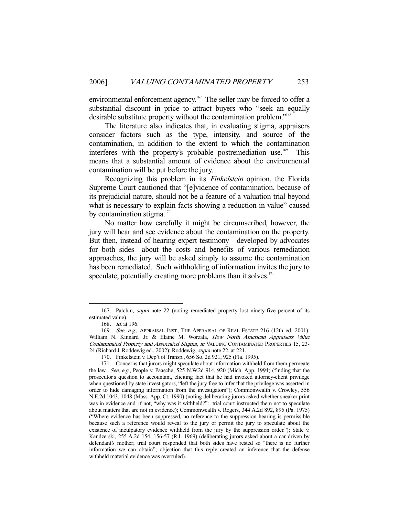environmental enforcement agency.<sup>167</sup> The seller may be forced to offer a substantial discount in price to attract buyers who "seek an equally desirable substitute property without the contamination problem."<sup>168</sup>

 The literature also indicates that, in evaluating stigma, appraisers consider factors such as the type, intensity, and source of the contamination, in addition to the extent to which the contamination interferes with the property's probable postremediation use.<sup>169</sup> This means that a substantial amount of evidence about the environmental contamination will be put before the jury.

Recognizing this problem in its Finkelstein opinion, the Florida Supreme Court cautioned that "[e]vidence of contamination, because of its prejudicial nature, should not be a feature of a valuation trial beyond what is necessary to explain facts showing a reduction in value" caused by contamination stigma. $170$ 

 No matter how carefully it might be circumscribed, however, the jury will hear and see evidence about the contamination on the property. But then, instead of hearing expert testimony—developed by advocates for both sides—about the costs and benefits of various remediation approaches, the jury will be asked simply to assume the contamination has been remediated. Such withholding of information invites the jury to speculate, potentially creating more problems than it solves.<sup>171</sup>

 <sup>167.</sup> Patchin, supra note 22 (noting remediated property lost ninety-five percent of its estimated value).

 <sup>168.</sup> Id. at 196.

<sup>169.</sup> See, e.g., APPRAISAL INST., THE APPRAISAL OF REAL ESTATE 216 (12th ed. 2001); William N. Kinnard, Jr. & Elaine M. Worzala, How North American Appraisers Value Contaminated Property and Associated Stigma, in VALUING CONTAMINATED PROPERTIES 15, 23- 24 (Richard J. Roddewig ed., 2002); Roddewig, supra note 22, at 221.

 <sup>170.</sup> Finkelstein v. Dep't of Transp., 656 So. 2d 921, 925 (Fla. 1995).

 <sup>171.</sup> Concerns that jurors might speculate about information withheld from them permeate the law. See, e.g., People v. Paasche, 525 N.W.2d 914, 920 (Mich. App. 1994) (finding that the prosecutor's question to accountant, eliciting fact that he had invoked attorney-client privilege when questioned by state investigators, "left the jury free to infer that the privilege was asserted in order to hide damaging information from the investigators"); Commonwealth v. Crowley, 556 N.E.2d 1043, 1048 (Mass. App. Ct. 1990) (noting deliberating jurors asked whether sneaker print was in evidence and, if not, "why was it withheld?": trial court instructed them not to speculate about matters that are not in evidence); Commonwealth v. Rogers, 344 A.2d 892, 895 (Pa. 1975) ("Where evidence has been suppressed, no reference to the suppression hearing is permissible because such a reference would reveal to the jury or permit the jury to speculate about the existence of inculpatory evidence withheld from the jury by the suppression order."); State v. Kandzerski, 255 A.2d 154, 156-57 (R.I. 1969) (deliberating jurors asked about a car driven by defendant's mother; trial court responded that both sides have rested so "there is no further information we can obtain"; objection that this reply created an inference that the defense withheld material evidence was overruled).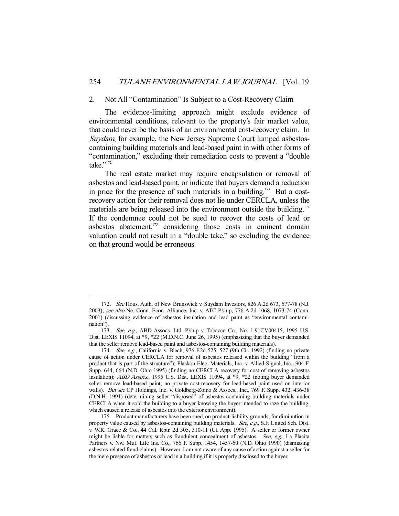#### 2. Not All "Contamination" Is Subject to a Cost-Recovery Claim

 The evidence-limiting approach might exclude evidence of environmental conditions, relevant to the property's fair market value, that could never be the basis of an environmental cost-recovery claim. In Suydam, for example, the New Jersey Supreme Court lumped asbestoscontaining building materials and lead-based paint in with other forms of "contamination," excluding their remediation costs to prevent a "double take."<sup>172</sup>

 The real estate market may require encapsulation or removal of asbestos and lead-based paint, or indicate that buyers demand a reduction in price for the presence of such materials in a building.<sup>173</sup> But a costrecovery action for their removal does not lie under CERCLA, unless the materials are being released into the environment outside the building.<sup>174</sup> If the condemnee could not be sued to recover the costs of lead or asbestos abatement, $175$  considering those costs in eminent domain valuation could not result in a "double take," so excluding the evidence on that ground would be erroneous.

 <sup>172.</sup> See Hous. Auth. of New Brunswick v. Suydam Investors, 826 A.2d 673, 677-78 (N.J. 2003); see also Ne. Conn. Econ. Alliance, Inc. v. ATC P'ship, 776 A.2d 1068, 1073-74 (Conn. 2001) (discussing evidence of asbestos insulation and lead paint as "environmental contamination").

<sup>173.</sup> See, e.g., ABD Assocs. Ltd. P'ship v. Tobacco Co., No. 1:91CV00415, 1995 U.S. Dist. LEXIS 11094, at \*9, \*22 (M.D.N.C. June 26, 1995) (emphasizing that the buyer demanded that the seller remove lead-based paint and asbestos-containing building materials).

<sup>174.</sup> See, e.g., California v. Blech, 976 F.2d 525, 527 (9th Cir. 1992) (finding no private cause of action under CERCLA for removal of asbestos released within the building "from a product that is part of the structure"); Plaskon Elec. Materials, Inc. v. Allied-Signal, Inc., 904 F. Supp. 644, 664 (N.D. Ohio 1995) (finding no CERCLA recovery for cost of removing asbestos insulation); ABD Assocs., 1995 U.S. Dist. LEXIS 11094, at \*9, \*22 (noting buyer demanded seller remove lead-based paint; no private cost-recovery for lead-based paint used on interior walls). But see CP Holdings, Inc. v. Goldberg-Zoino & Assocs., Inc., 769 F. Supp. 432, 436-38 (D.N.H. 1991) (determining seller "disposed" of asbestos-containing building materials under CERCLA when it sold the building to a buyer knowing the buyer intended to raze the building, which caused a release of asbestos into the exterior environment).

 <sup>175.</sup> Product manufacturers have been sued, on product-liability grounds, for diminution in property value caused by asbestos-containing building materials. See, e.g., S.F. United Sch. Dist. v. W.R. Grace & Co., 44 Cal. Rptr. 2d 305, 310-11 (Ct. App. 1995). A seller or former owner might be liable for matters such as fraudulent concealment of asbestos. See, e.g., La Placita Partners v. Nw. Mut. Life Ins. Co., 766 F. Supp. 1454, 1457-60 (N.D. Ohio 1990) (dismissing asbestos-related fraud claims). However, I am not aware of any cause of action against a seller for the mere presence of asbestos or lead in a building if it is properly disclosed to the buyer.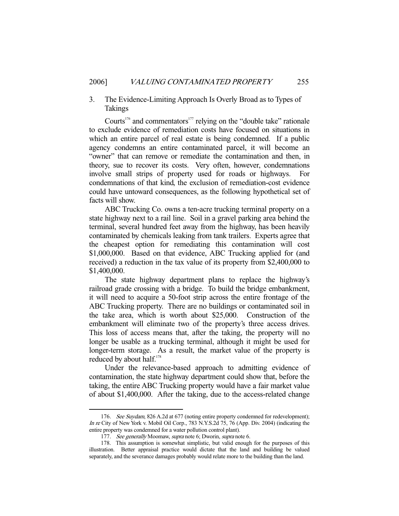# 3. The Evidence-Limiting Approach Is Overly Broad as to Types of Takings

Courts<sup>176</sup> and commentators<sup>177</sup> relying on the "double take" rationale to exclude evidence of remediation costs have focused on situations in which an entire parcel of real estate is being condemned. If a public agency condemns an entire contaminated parcel, it will become an "owner" that can remove or remediate the contamination and then, in theory, sue to recover its costs. Very often, however, condemnations involve small strips of property used for roads or highways. condemnations of that kind, the exclusion of remediation-cost evidence could have untoward consequences, as the following hypothetical set of facts will show.

 ABC Trucking Co. owns a ten-acre trucking terminal property on a state highway next to a rail line. Soil in a gravel parking area behind the terminal, several hundred feet away from the highway, has been heavily contaminated by chemicals leaking from tank trailers. Experts agree that the cheapest option for remediating this contamination will cost \$1,000,000. Based on that evidence, ABC Trucking applied for (and received) a reduction in the tax value of its property from \$2,400,000 to \$1,400,000.

 The state highway department plans to replace the highway's railroad grade crossing with a bridge. To build the bridge embankment, it will need to acquire a 50-foot strip across the entire frontage of the ABC Trucking property. There are no buildings or contaminated soil in the take area, which is worth about \$25,000. Construction of the embankment will eliminate two of the property's three access drives. This loss of access means that, after the taking, the property will no longer be usable as a trucking terminal, although it might be used for longer-term storage. As a result, the market value of the property is reduced by about half.<sup>178</sup>

 Under the relevance-based approach to admitting evidence of contamination, the state highway department could show that, before the taking, the entire ABC Trucking property would have a fair market value of about \$1,400,000. After the taking, due to the access-related change

<sup>176.</sup> See Suydam, 826 A.2d at 677 (noting entire property condemned for redevelopment); In re City of New York v. Mobil Oil Corp., 783 N.Y.S.2d 75, 76 (App. Div. 2004) (indicating the entire property was condemned for a water pollution control plant).

<sup>177.</sup> See generally Moomaw, supra note 6; Dworin, supra note 6.

 <sup>178.</sup> This assumption is somewhat simplistic, but valid enough for the purposes of this illustration. Better appraisal practice would dictate that the land and building be valued separately, and the severance damages probably would relate more to the building than the land.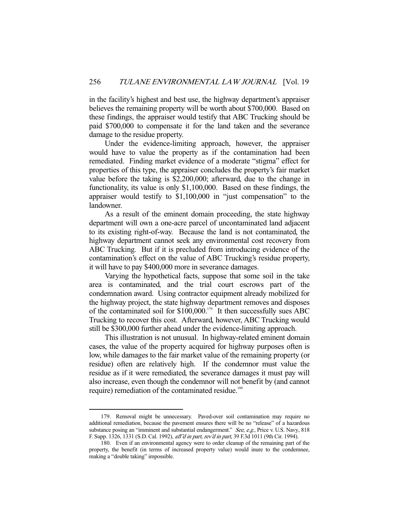in the facility's highest and best use, the highway department's appraiser believes the remaining property will be worth about \$700,000. Based on these findings, the appraiser would testify that ABC Trucking should be paid \$700,000 to compensate it for the land taken and the severance damage to the residue property.

 Under the evidence-limiting approach, however, the appraiser would have to value the property as if the contamination had been remediated. Finding market evidence of a moderate "stigma" effect for properties of this type, the appraiser concludes the property's fair market value before the taking is \$2,200,000; afterward, due to the change in functionality, its value is only \$1,100,000. Based on these findings, the appraiser would testify to \$1,100,000 in "just compensation" to the landowner.

 As a result of the eminent domain proceeding, the state highway department will own a one-acre parcel of uncontaminated land adjacent to its existing right-of-way. Because the land is not contaminated, the highway department cannot seek any environmental cost recovery from ABC Trucking. But if it is precluded from introducing evidence of the contamination's effect on the value of ABC Trucking's residue property, it will have to pay \$400,000 more in severance damages.

 Varying the hypothetical facts, suppose that some soil in the take area is contaminated, and the trial court escrows part of the condemnation award. Using contractor equipment already mobilized for the highway project, the state highway department removes and disposes of the contaminated soil for  $$100,000$ .<sup>179</sup> It then successfully sues ABC Trucking to recover this cost. Afterward, however, ABC Trucking would still be \$300,000 further ahead under the evidence-limiting approach.

 This illustration is not unusual. In highway-related eminent domain cases, the value of the property acquired for highway purposes often is low, while damages to the fair market value of the remaining property (or residue) often are relatively high. If the condemnor must value the residue as if it were remediated, the severance damages it must pay will also increase, even though the condemnor will not benefit by (and cannot require) remediation of the contaminated residue.<sup>180</sup>

 <sup>179.</sup> Removal might be unnecessary. Paved-over soil contamination may require no additional remediation, because the pavement ensures there will be no "release" of a hazardous substance posing an "imminent and substantial endangerment." See, e.g., Price v. U.S. Navy, 818 F. Supp. 1326, 1331 (S.D. Cal. 1992), aff'd in part, rev'd in part, 39 F.3d 1011 (9th Cir. 1994).

 <sup>180.</sup> Even if an environmental agency were to order cleanup of the remaining part of the property, the benefit (in terms of increased property value) would inure to the condemnee, making a "double taking" impossible.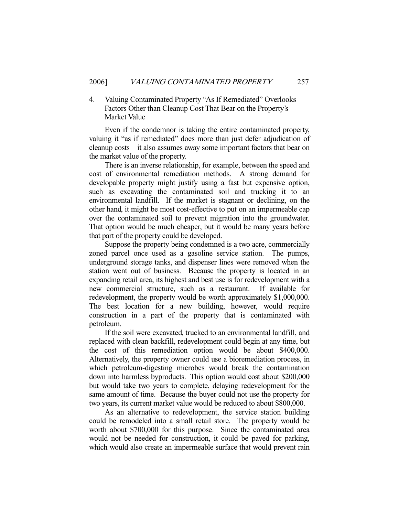# 4. Valuing Contaminated Property "As If Remediated" Overlooks Factors Other than Cleanup Cost That Bear on the Property's Market Value

 Even if the condemnor is taking the entire contaminated property, valuing it "as if remediated" does more than just defer adjudication of cleanup costs—it also assumes away some important factors that bear on the market value of the property.

 There is an inverse relationship, for example, between the speed and cost of environmental remediation methods. A strong demand for developable property might justify using a fast but expensive option, such as excavating the contaminated soil and trucking it to an environmental landfill. If the market is stagnant or declining, on the other hand, it might be most cost-effective to put on an impermeable cap over the contaminated soil to prevent migration into the groundwater. That option would be much cheaper, but it would be many years before that part of the property could be developed.

 Suppose the property being condemned is a two acre, commercially zoned parcel once used as a gasoline service station. The pumps, underground storage tanks, and dispenser lines were removed when the station went out of business. Because the property is located in an expanding retail area, its highest and best use is for redevelopment with a new commercial structure, such as a restaurant. If available for redevelopment, the property would be worth approximately \$1,000,000. The best location for a new building, however, would require construction in a part of the property that is contaminated with petroleum.

 If the soil were excavated, trucked to an environmental landfill, and replaced with clean backfill, redevelopment could begin at any time, but the cost of this remediation option would be about \$400,000. Alternatively, the property owner could use a bioremediation process, in which petroleum-digesting microbes would break the contamination down into harmless byproducts. This option would cost about \$200,000 but would take two years to complete, delaying redevelopment for the same amount of time. Because the buyer could not use the property for two years, its current market value would be reduced to about \$800,000.

 As an alternative to redevelopment, the service station building could be remodeled into a small retail store. The property would be worth about \$700,000 for this purpose. Since the contaminated area would not be needed for construction, it could be paved for parking, which would also create an impermeable surface that would prevent rain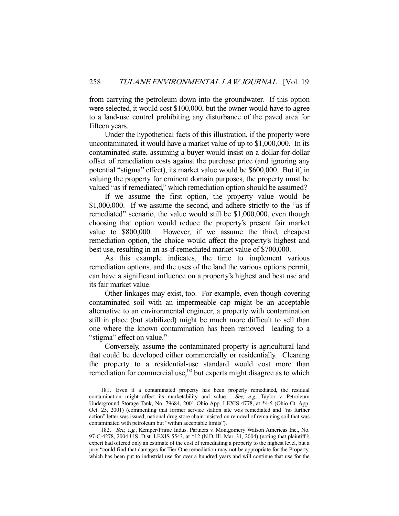from carrying the petroleum down into the groundwater. If this option were selected, it would cost \$100,000, but the owner would have to agree to a land-use control prohibiting any disturbance of the paved area for fifteen years.

 Under the hypothetical facts of this illustration, if the property were uncontaminated, it would have a market value of up to \$1,000,000. In its contaminated state, assuming a buyer would insist on a dollar-for-dollar offset of remediation costs against the purchase price (and ignoring any potential "stigma" effect), its market value would be \$600,000. But if, in valuing the property for eminent domain purposes, the property must be valued "as if remediated," which remediation option should be assumed?

 If we assume the first option, the property value would be \$1,000,000. If we assume the second, and adhere strictly to the "as if remediated" scenario, the value would still be \$1,000,000, even though choosing that option would reduce the property's present fair market value to \$800,000. However, if we assume the third, cheapest remediation option, the choice would affect the property's highest and best use, resulting in an as-if-remediated market value of \$700,000.

 As this example indicates, the time to implement various remediation options, and the uses of the land the various options permit, can have a significant influence on a property's highest and best use and its fair market value.

 Other linkages may exist, too. For example, even though covering contaminated soil with an impermeable cap might be an acceptable alternative to an environmental engineer, a property with contamination still in place (but stabilized) might be much more difficult to sell than one where the known contamination has been removed—leading to a "stigma" effect on value.<sup>181</sup>

 Conversely, assume the contaminated property is agricultural land that could be developed either commercially or residentially. Cleaning the property to a residential-use standard would cost more than remediation for commercial use,<sup>182</sup> but experts might disagree as to which

 <sup>181.</sup> Even if a contaminated property has been properly remediated, the residual contamination might affect its marketability and value. See, e.g., Taylor v. Petroleum Underground Storage Tank, No. 79684, 2001 Ohio App. LEXIS 4778, at \*4-5 (Ohio Ct. App. Oct. 25, 2001) (commenting that former service station site was remediated and "no further action" letter was issued; national drug store chain insisted on removal of remaining soil that was contaminated with petroleum but "within acceptable limits").

 <sup>182.</sup> See, e.g., Kemper/Prime Indus. Partners v. Montgomery Watson Americas Inc., No. 97-C-4278, 2004 U.S. Dist. LEXIS 5543, at \*12 (N.D. Ill. Mar. 31, 2004) (noting that plaintiff's expert had offered only an estimate of the cost of remediating a property to the highest level, but a jury "could find that damages for Tier One remediation may not be appropriate for the Property, which has been put to industrial use for over a hundred years and will continue that use for the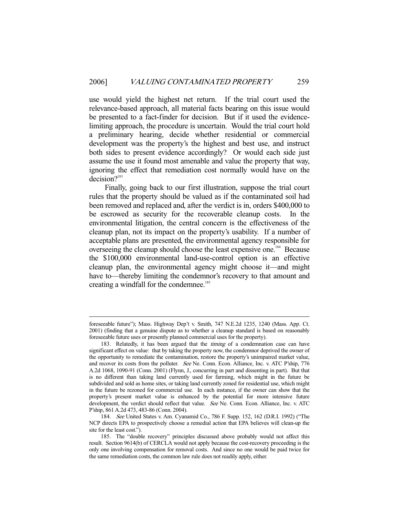use would yield the highest net return. If the trial court used the relevance-based approach, all material facts bearing on this issue would be presented to a fact-finder for decision. But if it used the evidencelimiting approach, the procedure is uncertain. Would the trial court hold a preliminary hearing, decide whether residential or commercial development was the property's the highest and best use, and instruct both sides to present evidence accordingly? Or would each side just assume the use it found most amenable and value the property that way, ignoring the effect that remediation cost normally would have on the decision?<sup>183</sup>

 Finally, going back to our first illustration, suppose the trial court rules that the property should be valued as if the contaminated soil had been removed and replaced and, after the verdict is in, orders \$400,000 to be escrowed as security for the recoverable cleanup costs. In the environmental litigation, the central concern is the effectiveness of the cleanup plan, not its impact on the property's usability. If a number of acceptable plans are presented, the environmental agency responsible for overseeing the cleanup should choose the least expensive one.<sup>184</sup> Because the \$100,000 environmental land-use-control option is an effective cleanup plan, the environmental agency might choose it—and might have to—thereby limiting the condemnor's recovery to that amount and creating a windfall for the condemnee.<sup>185</sup>

foreseeable future"); Mass. Highway Dep't v. Smith, 747 N.E.2d 1235, 1240 (Mass. App. Ct. 2001) (finding that a genuine dispute as to whether a cleanup standard is based on reasonably foreseeable future uses or presently planned commercial uses for the property).

<sup>183.</sup> Relatedly, it has been argued that the *timing* of a condemnation case can have significant effect on value: that by taking the property now, the condemnor deprived the owner of the opportunity to remediate the contamination, restore the property's unimpaired market value, and recover its costs from the polluter. See Ne. Conn. Econ. Alliance, Inc. v. ATC P'ship, 776 A.2d 1068, 1090-91 (Conn. 2001) (Flynn, J., concurring in part and dissenting in part). But that is no different than taking land currently used for farming, which might in the future be subdivided and sold as home sites, or taking land currently zoned for residential use, which might in the future be rezoned for commercial use. In each instance, if the owner can show that the property's present market value is enhanced by the potential for more intensive future development, the verdict should reflect that value. See Ne. Conn. Econ. Alliance, Inc. v. ATC P'ship, 861 A.2d 473, 483-86 (Conn. 2004).

 <sup>184.</sup> See United States v. Am. Cyanamid Co., 786 F. Supp. 152, 162 (D.R.I. 1992) ("The NCP directs EPA to prospectively choose a remedial action that EPA believes will clean-up the site for the least cost.").

 <sup>185.</sup> The "double recovery" principles discussed above probably would not affect this result. Section 9614(b) of CERCLA would not apply because the cost-recovery proceeding is the only one involving compensation for removal costs. And since no one would be paid twice for the same remediation costs, the common law rule does not readily apply, either.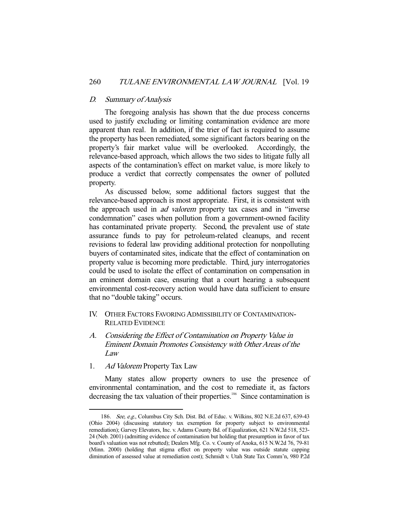## D. Summary of Analysis

 The foregoing analysis has shown that the due process concerns used to justify excluding or limiting contamination evidence are more apparent than real. In addition, if the trier of fact is required to assume the property has been remediated, some significant factors bearing on the property's fair market value will be overlooked. Accordingly, the relevance-based approach, which allows the two sides to litigate fully all aspects of the contamination's effect on market value, is more likely to produce a verdict that correctly compensates the owner of polluted property.

 As discussed below, some additional factors suggest that the relevance-based approach is most appropriate. First, it is consistent with the approach used in *ad valorem* property tax cases and in "inverse" condemnation" cases when pollution from a government-owned facility has contaminated private property. Second, the prevalent use of state assurance funds to pay for petroleum-related cleanups, and recent revisions to federal law providing additional protection for nonpolluting buyers of contaminated sites, indicate that the effect of contamination on property value is becoming more predictable. Third, jury interrogatories could be used to isolate the effect of contamination on compensation in an eminent domain case, ensuring that a court hearing a subsequent environmental cost-recovery action would have data sufficient to ensure that no "double taking" occurs.

- IV. OTHER FACTORS FAVORING ADMISSIBILITY OF CONTAMINATION-RELATED EVIDENCE
- A. Considering the Effect of Contamination on Property Value in Eminent Domain Promotes Consistency with Other Areas of the Law
- 1. Ad Valorem Property Tax Law

-

 Many states allow property owners to use the presence of environmental contamination, and the cost to remediate it, as factors decreasing the tax valuation of their properties.<sup>186</sup> Since contamination is

 <sup>186.</sup> See, e.g., Columbus City Sch. Dist. Bd. of Educ. v. Wilkins, 802 N.E.2d 637, 639-43 (Ohio 2004) (discussing statutory tax exemption for property subject to environmental remediation); Garvey Elevators, Inc. v. Adams County Bd. of Equalization, 621 N.W.2d 518, 523- 24 (Neb. 2001) (admitting evidence of contamination but holding that presumption in favor of tax board's valuation was not rebutted); Dealers Mfg. Co. v. County of Anoka, 615 N.W.2d 76, 79-81 (Minn. 2000) (holding that stigma effect on property value was outside statute capping diminution of assessed value at remediation cost); Schmidt v. Utah State Tax Comm'n, 980 P.2d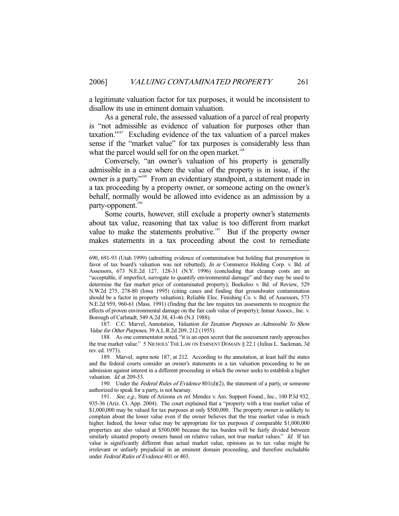a legitimate valuation factor for tax purposes, it would be inconsistent to disallow its use in eminent domain valuation.

 As a general rule, the assessed valuation of a parcel of real property is "not admissible as evidence of valuation for purposes other than taxation."187 Excluding evidence of the tax valuation of a parcel makes sense if the "market value" for tax purposes is considerably less than what the parcel would sell for on the open market.<sup>188</sup>

 Conversely, "an owner's valuation of his property is generally admissible in a case where the value of the property is in issue, if the owner is a party."189 From an evidentiary standpoint, a statement made in a tax proceeding by a property owner, or someone acting on the owner's behalf, normally would be allowed into evidence as an admission by a party-opponent.<sup>190</sup>

 Some courts, however, still exclude a property owner's statements about tax value, reasoning that tax value is too different from market value to make the statements probative.<sup>191</sup> But if the property owner makes statements in a tax proceeding about the cost to remediate

-

190. Under the Federal Rules of Evidence  $801(d)(2)$ , the statement of a party, or someone authorized to speak for a party, is not hearsay.

<sup>690, 691-93 (</sup>Utah 1999) (admitting evidence of contamination but holding that presumption in favor of tax board's valuation was not rebutted); In re Commerce Holding Corp. v. Bd. of Assessors, 673 N.E.2d 127, 128-31 (N.Y. 1996) (concluding that cleanup costs are an "acceptable, if imperfect, surrogate to quantify environmental damage" and they may be used to determine the fair market price of contaminated property); Boekeloo v. Bd. of Review, 529 N.W.2d 275, 278-80 (Iowa 1995) (citing cases and finding that groundwater contamination should be a factor in property valuation); Reliable Elec. Finishing Co. v. Bd. of Assessors, 573 N.E.2d 959, 960-61 (Mass. 1991) (finding that the law requires tax assessments to recognize the effects of proven environmental damage on the fair cash value of property); Inmar Assocs., Inc. v. Borough of Carlstadt, 549 A.2d 38, 43-46 (N.J. 1988).

<sup>187.</sup> C.C. Marvel, Annotation, Valuation for Taxation Purposes as Admissible To Show Value for Other Purposes, 39 A.L.R.2d 209, 212 (1955).

 <sup>188.</sup> As one commentator noted, "it is an open secret that the assessment rarely approaches the true market value." 5 NICHOLS'THE LAW ON EMINENT DOMAIN § 22.1 (Julius L. Sackman, 3d rev. ed. 1973).

<sup>189.</sup> Marvel, *supra* note 187, at 212. According to the annotation, at least half the states and the federal courts consider an owner's statements in a tax valuation proceeding to be an admission against interest in a different proceeding in which the owner seeks to establish a higher valuation. *Id.* at 209-53.

<sup>191.</sup> See, e.g., State of Arizona ex rel. Mendez v. Am. Support Found., Inc., 100 P.3d 932, 935-36 (Ariz. Ct. App. 2004). The court explained that a "property with a true market value of \$1,000,000 may be valued for tax purposes at only \$500,000. The property owner is unlikely to complain about the lower value even if the owner believes that the true market value is much higher. Indeed, the lower value may be appropriate for tax purposes if comparable \$1,000,000 properties are also valued at \$500,000 because the tax burden will be fairly divided between similarly situated property owners based on relative values, not true market values." Id. If tax value is significantly different than actual market value, opinions as to tax value might be irrelevant or unfairly prejudicial in an eminent domain proceeding, and therefore excludable under Federal Rules of Evidence 401 or 403.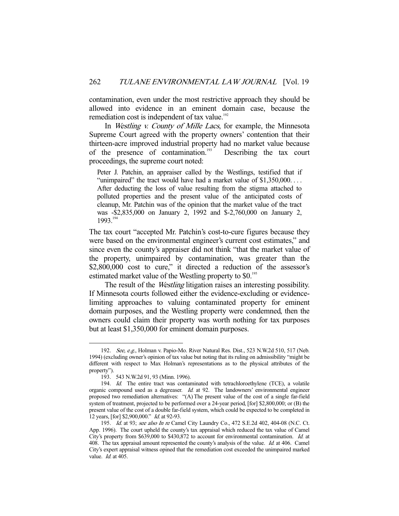contamination, even under the most restrictive approach they should be allowed into evidence in an eminent domain case, because the remediation cost is independent of tax value.<sup>192</sup>

In *Westling v. County of Mille Lacs*, for example, the Minnesota Supreme Court agreed with the property owners' contention that their thirteen-acre improved industrial property had no market value because of the presence of contamination.193 Describing the tax court proceedings, the supreme court noted:

Peter J. Patchin, an appraiser called by the Westlings, testified that if "unimpaired" the tract would have had a market value of \$1,350,000. . . . After deducting the loss of value resulting from the stigma attached to polluted properties and the present value of the anticipated costs of cleanup, Mr. Patchin was of the opinion that the market value of the tract was -\$2,835,000 on January 2, 1992 and \$-2,760,000 on January 2, 1993.194

The tax court "accepted Mr. Patchin's cost-to-cure figures because they were based on the environmental engineer's current cost estimates," and since even the county's appraiser did not think "that the market value of the property, unimpaired by contamination, was greater than the \$2,800,000 cost to cure," it directed a reduction of the assessor's estimated market value of the Westling property to \$0.<sup>195</sup>

The result of the *Westling* litigation raises an interesting possibility. If Minnesota courts followed either the evidence-excluding or evidencelimiting approaches to valuing contaminated property for eminent domain purposes, and the Westling property were condemned, then the owners could claim their property was worth nothing for tax purposes but at least \$1,350,000 for eminent domain purposes.

<sup>192.</sup> See, e.g., Holman v. Papio-Mo. River Natural Res. Dist., 523 N.W.2d 510, 517 (Neb. 1994) (excluding owner's opinion of tax value but noting that its ruling on admissibility "might be different with respect to Max Holman's representations as to the physical attributes of the property").

 <sup>193. 543</sup> N.W.2d 91, 93 (Minn. 1996).

<sup>194.</sup> Id. The entire tract was contaminated with tetrachloroethylene (TCE), a volatile organic compound used as a degreaser.  $Id$  at 92. The landowners' environmental engineer proposed two remediation alternatives: "(A) The present value of the cost of a single far-field system of treatment, projected to be performed over a 24-year period, [for] \$2,800,000; or (B) the present value of the cost of a double far-field system, which could be expected to be completed in 12 years, [for] \$2,900,000." Id. at 92-93.

<sup>195.</sup> Id. at 93; see also In re Camel City Laundry Co., 472 S.E.2d 402, 404-08 (N.C. Ct. App. 1996). The court upheld the county's tax appraisal which reduced the tax value of Camel City's property from \$639,000 to \$430,872 to account for environmental contamination. Id. at 408. The tax appraisal amount represented the county's analysis of the value. Id. at 406. Camel City's expert appraisal witness opined that the remediation cost exceeded the unimpaired marked value. *Id.* at 405.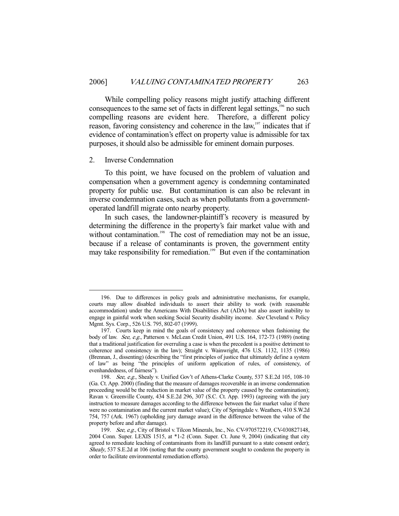While compelling policy reasons might justify attaching different consequences to the same set of facts in different legal settings,<sup>196</sup> no such compelling reasons are evident here. Therefore, a different policy reason, favoring consistency and coherence in the law,<sup>197</sup> indicates that if evidence of contamination's effect on property value is admissible for tax purposes, it should also be admissible for eminent domain purposes.

#### 2. Inverse Condemnation

-

 To this point, we have focused on the problem of valuation and compensation when a government agency is condemning contaminated property for public use. But contamination is can also be relevant in inverse condemnation cases, such as when pollutants from a governmentoperated landfill migrate onto nearby property.

 In such cases, the landowner-plaintiff's recovery is measured by determining the difference in the property's fair market value with and without contamination.<sup>198</sup> The cost of remediation may not be an issue, because if a release of contaminants is proven, the government entity may take responsibility for remediation.<sup>199</sup> But even if the contamination

 <sup>196.</sup> Due to differences in policy goals and administrative mechanisms, for example, courts may allow disabled individuals to assert their ability to work (with reasonable accommodation) under the Americans With Disabilities Act (ADA) but also assert inability to engage in gainful work when seeking Social Security disability income. See Cleveland v. Policy Mgmt. Sys. Corp., 526 U.S. 795, 802-07 (1999).

 <sup>197.</sup> Courts keep in mind the goals of consistency and coherence when fashioning the body of law. See, e.g., Patterson v. McLean Credit Union, 491 U.S. 164, 172-73 (1989) (noting that a traditional justification for overruling a case is when the precedent is a positive detriment to coherence and consistency in the law); Straight v. Wainwright, 476 U.S. 1132, 1135 (1986) (Brennan, J., dissenting) (describing the "first principles of justice that ultimately define a system of law" as being "the principles of uniform application of rules, of consistency, of evenhandedness, of fairness").

<sup>198.</sup> See, e.g., Shealy v. Unified Gov't of Athens-Clarke County, 537 S.E.2d 105, 108-10 (Ga. Ct. App. 2000) (finding that the measure of damages recoverable in an inverse condemnation proceeding would be the reduction in market value of the property caused by the contamination); Ravan v. Greenville County, 434 S.E.2d 296, 307 (S.C. Ct. App. 1993) (agreeing with the jury instruction to measure damages according to the difference between the fair market value if there were no contamination and the current market value); City of Springdale v. Weathers, 410 S.W.2d 754, 757 (Ark. 1967) (upholding jury damage award in the difference between the value of the property before and after damage).

<sup>199.</sup> See, e.g., City of Bristol v. Tilcon Minerals, Inc., No. CV-970572219, CV-030827148, 2004 Conn. Super. LEXIS 1515, at \*1-2 (Conn. Super. Ct. June 9, 2004) (indicating that city agreed to remediate leaching of contaminants from its landfill pursuant to a state consent order); Shealy, 537 S.E.2d at 106 (noting that the county government sought to condemn the property in order to facilitate environmental remediation efforts).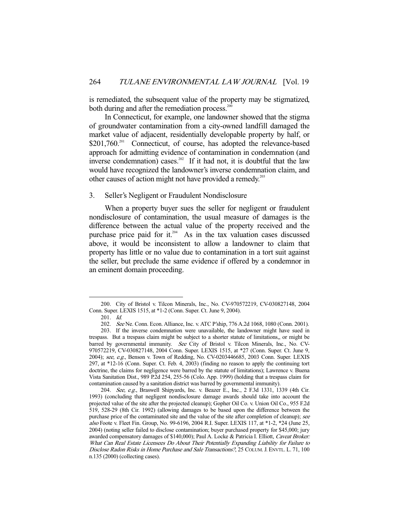is remediated, the subsequent value of the property may be stigmatized, both during and after the remediation process.<sup>20</sup>

 In Connecticut, for example, one landowner showed that the stigma of groundwater contamination from a city-owned landfill damaged the market value of adjacent, residentially developable property by half, or \$201,760<sup>201</sup> Connecticut, of course, has adopted the relevance-based approach for admitting evidence of contamination in condemnation (and inverse condemnation) cases.<sup>202</sup> If it had not, it is doubtful that the law would have recognized the landowner's inverse condemnation claim, and other causes of action might not have provided a remedy.<sup>203</sup>

# 3. Seller's Negligent or Fraudulent Nondisclosure

 When a property buyer sues the seller for negligent or fraudulent nondisclosure of contamination, the usual measure of damages is the difference between the actual value of the property received and the purchase price paid for it.<sup>204</sup> As in the tax valuation cases discussed above, it would be inconsistent to allow a landowner to claim that property has little or no value due to contamination in a tort suit against the seller, but preclude the same evidence if offered by a condemnor in an eminent domain proceeding.

 <sup>200.</sup> City of Bristol v. Tilcon Minerals, Inc., No. CV-970572219, CV-030827148, 2004 Conn. Super. LEXIS 1515, at \*1-2 (Conn. Super. Ct. June 9, 2004).

 <sup>201.</sup> Id.

 <sup>202.</sup> See Ne. Conn. Econ. Alliance, Inc. v. ATC P'ship, 776 A.2d 1068, 1080 (Conn. 2001).

 <sup>203.</sup> If the inverse condemnation were unavailable, the landowner might have sued in trespass. But a trespass claim might be subject to a shorter statute of limitations,, or might be barred by governmental immunity. See City of Bristol v. Tilcon Minerals, Inc., No. CV-970572219, CV-030827148, 2004 Conn. Super. LEXIS 1515, at \*27 (Conn. Super. Ct. June 9, 2004); see, e.g., Benson v. Town of Redding, No. CV-0203446685, 2003 Conn. Super. LEXIS 297, at \*12-16 (Conn. Super. Ct. Feb. 4, 2003) (finding no reason to apply the continuing tort doctrine, the claims for negligence were barred by the statute of limitations); Lawrence v. Buena Vista Sanitation Dist., 989 P.2d 254, 255-56 (Colo. App. 1999) (holding that a trespass claim for contamination caused by a sanitation district was barred by governmental immunity).

<sup>204.</sup> See, e.g., Braswell Shipyards, Inc. v. Beazer E., Inc., 2 F.3d 1331, 1339 (4th Cir. 1993) (concluding that negligent nondisclosure damage awards should take into account the projected value of the site after the projected cleanup); Gopher Oil Co. v. Union Oil Co., 955 F.2d 519, 528-29 (8th Cir. 1992) (allowing damages to be based upon the difference between the purchase price of the contaminated site and the value of the site after completion of cleanup); see also Foote v. Fleet Fin. Group, No. 99-6196, 2004 R.I. Super. LEXIS 117, at \*1-2, \*24 (June 25, 2004) (noting seller failed to disclose contamination; buyer purchased property for \$45,000; jury awarded compensatory damages of \$140,000); Paul A. Locke & Patricia I. Elliott, Caveat Broker: What Can Real Estate Licensees Do About Their Potentially Expanding Liability for Failure to Disclose Radon Risks in Home Purchase and Sale Transactions?, 25 COLUM.J. ENVTL. L. 71, 100 n.135 (2000) (collecting cases).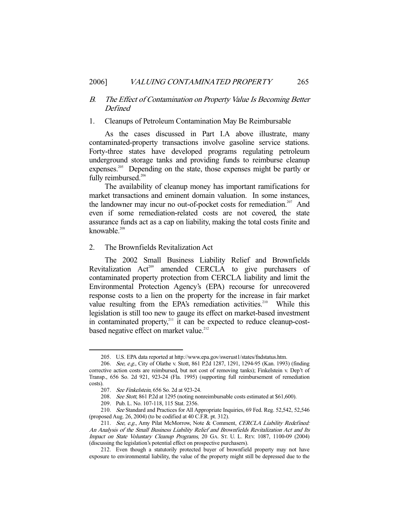# B. The Effect of Contamination on Property Value Is Becoming Better Defined

## 1. Cleanups of Petroleum Contamination May Be Reimbursable

 As the cases discussed in Part I.A above illustrate, many contaminated-property transactions involve gasoline service stations. Forty-three states have developed programs regulating petroleum underground storage tanks and providing funds to reimburse cleanup expenses.<sup>205</sup> Depending on the state, those expenses might be partly or fully reimbursed.<sup>206</sup>

 The availability of cleanup money has important ramifications for market transactions and eminent domain valuation. In some instances, the landowner may incur no out-of-pocket costs for remediation.<sup>207</sup> And even if some remediation-related costs are not covered, the state assurance funds act as a cap on liability, making the total costs finite and knowable $208$ 

# 2. The Brownfields Revitalization Act

 The 2002 Small Business Liability Relief and Brownfields Revitalization Act<sup>209</sup> amended CERCLA to give purchasers of contaminated property protection from CERCLA liability and limit the Environmental Protection Agency's (EPA) recourse for unrecovered response costs to a lien on the property for the increase in fair market value resulting from the EPA's remediation activities.<sup>210</sup> While this legislation is still too new to gauge its effect on market-based investment in contaminated property,<sup>211</sup> it can be expected to reduce cleanup-costbased negative effect on market value.<sup>212</sup>

 <sup>205.</sup> U.S. EPA data reported at http://www.epa.gov/swerust1/states/fndstatus.htm.

 <sup>206.</sup> See, e.g., City of Olathe v. Stott, 861 P.2d 1287, 1291, 1294-95 (Kan. 1993) (finding corrective action costs are reimbursed, but not cost of removing tanks); Finkelstein v. Dep't of Transp., 656 So. 2d 921, 923-24 (Fla. 1995) (supporting full reimbursement of remediation costs).

<sup>207.</sup> See Finkelstein, 656 So. 2d at 923-24.

 <sup>208.</sup> See Stott, 861 P.2d at 1295 (noting nonreimbursable costs estimated at \$61,600).

 <sup>209.</sup> Pub. L. No. 107-118, 115 Stat. 2356.

 <sup>210.</sup> See Standard and Practices for All Appropriate Inquiries, 69 Fed. Reg. 52,542, 52,546 (proposed Aug. 26, 2004) (to be codified at 40 C.F.R. pt. 312).

<sup>211.</sup> See, e.g., Amy Pilat McMorrow, Note & Comment, CERCLA Liability Redefined: An Analysis of the Small Business Liability Relief and Brownfields Revitalization Act and Its Impact on State Voluntary Cleanup Programs, 20 GA. ST. U. L. REV. 1087, 1100-09 (2004) (discussing the legislation's potential effect on prospective purchasers).

 <sup>212.</sup> Even though a statutorily protected buyer of brownfield property may not have exposure to environmental liability, the value of the property might still be depressed due to the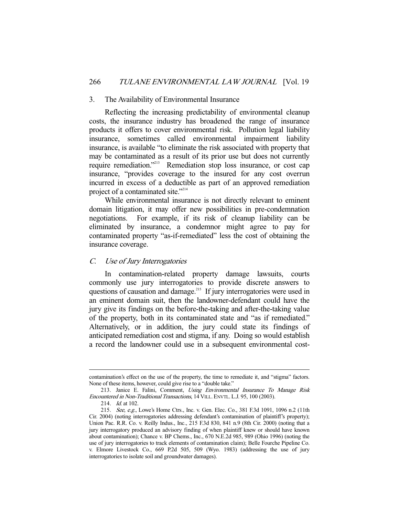#### 3. The Availability of Environmental Insurance

 Reflecting the increasing predictability of environmental cleanup costs, the insurance industry has broadened the range of insurance products it offers to cover environmental risk. Pollution legal liability insurance, sometimes called environmental impairment liability insurance, is available "to eliminate the risk associated with property that may be contaminated as a result of its prior use but does not currently require remediation."<sup>213</sup> Remediation stop loss insurance, or cost cap insurance, "provides coverage to the insured for any cost overrun incurred in excess of a deductible as part of an approved remediation project of a contaminated site."214

 While environmental insurance is not directly relevant to eminent domain litigation, it may offer new possibilities in pre-condemnation negotiations. For example, if its risk of cleanup liability can be eliminated by insurance, a condemnor might agree to pay for contaminated property "as-if-remediated" less the cost of obtaining the insurance coverage.

# C. Use of Jury Interrogatories

 In contamination-related property damage lawsuits, courts commonly use jury interrogatories to provide discrete answers to questions of causation and damage.<sup>215</sup> If jury interrogatories were used in an eminent domain suit, then the landowner-defendant could have the jury give its findings on the before-the-taking and after-the-taking value of the property, both in its contaminated state and "as if remediated." Alternatively, or in addition, the jury could state its findings of anticipated remediation cost and stigma, if any. Doing so would establish a record the landowner could use in a subsequent environmental cost-

contamination's effect on the use of the property, the time to remediate it, and "stigma" factors. None of these items, however, could give rise to a "double take."

<sup>213.</sup> Janice E. Falini, Comment, Using Environmental Insurance To Manage Risk Encountered in Non-Traditional Transactions, 14 VILL.ENVTL. L.J. 95, 100 (2003).

<sup>214.</sup> *Id.* at 102.

<sup>215.</sup> See, e.g., Lowe's Home Ctrs., Inc. v. Gen. Elec. Co., 381 F.3d 1091, 1096 n.2 (11th Cir. 2004) (noting interrogatories addressing defendant's contamination of plaintiff's property); Union Pac. R.R. Co. v. Reilly Indus., Inc., 215 F.3d 830, 841 n.9 (8th Cir. 2000) (noting that a jury interrogatory produced an advisory finding of when plaintiff knew or should have known about contamination); Chance v. BP Chems., Inc., 670 N.E.2d 985, 989 (Ohio 1996) (noting the use of jury interrogatories to track elements of contamination claim); Belle Fourche Pipeline Co. v. Elmore Livestock Co., 669 P.2d 505, 509 (Wyo. 1983) (addressing the use of jury interrogatories to isolate soil and groundwater damages).